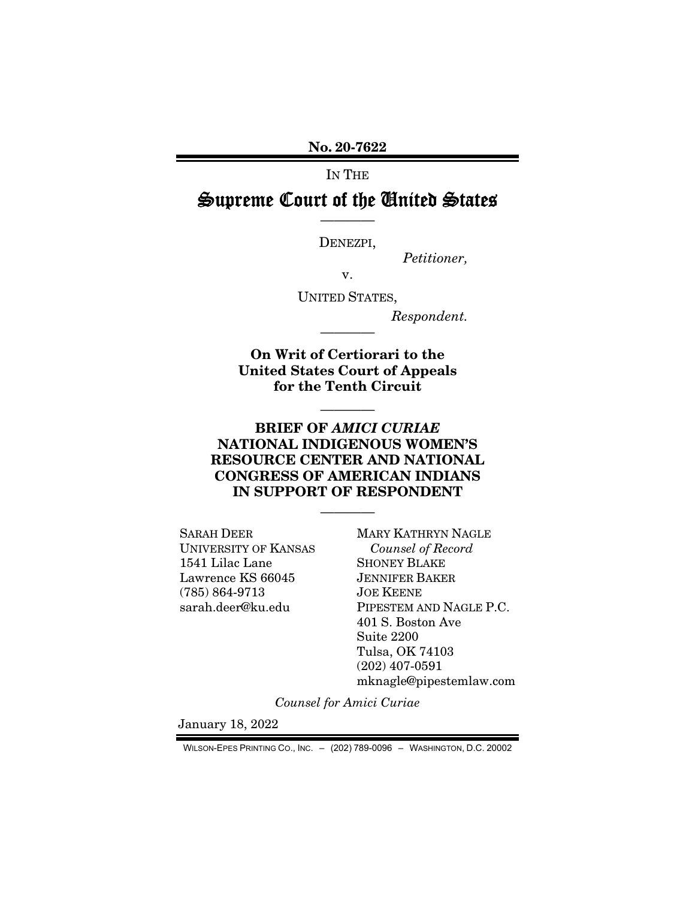No. 20-7622

IN THE

### Supreme Court of the United States ————

DENEZPI,

*Petitioner,* 

v.

UNITED STATES,

*Respondent.* 

On Writ of Certiorari to the United States Court of Appeals for the Tenth Circuit

————

————

#### BRIEF OF *AMICI CURIAE* NATIONAL INDIGENOUS WOMEN'S RESOURCE CENTER AND NATIONAL CONGRESS OF AMERICAN INDIANS IN SUPPORT OF RESPONDENT

————

SARAH DEER UNIVERSITY OF KANSAS 1541 Lilac Lane Lawrence KS 66045 (785) 864-9713 sarah.deer@ku.edu

MARY KATHRYN NAGLE *Counsel of Record*  SHONEY BLAKE JENNIFER BAKER JOE KEENE PIPESTEM AND NAGLE P.C. 401 S. Boston Ave Suite 2200 Tulsa, OK 74103 (202) 407-0591 mknagle@pipestemlaw.com

*Counsel for Amici Curiae* 

January 18, 2022

WILSON-EPES PRINTING CO., INC. – (202) 789-0096 – WASHINGTON, D.C. 20002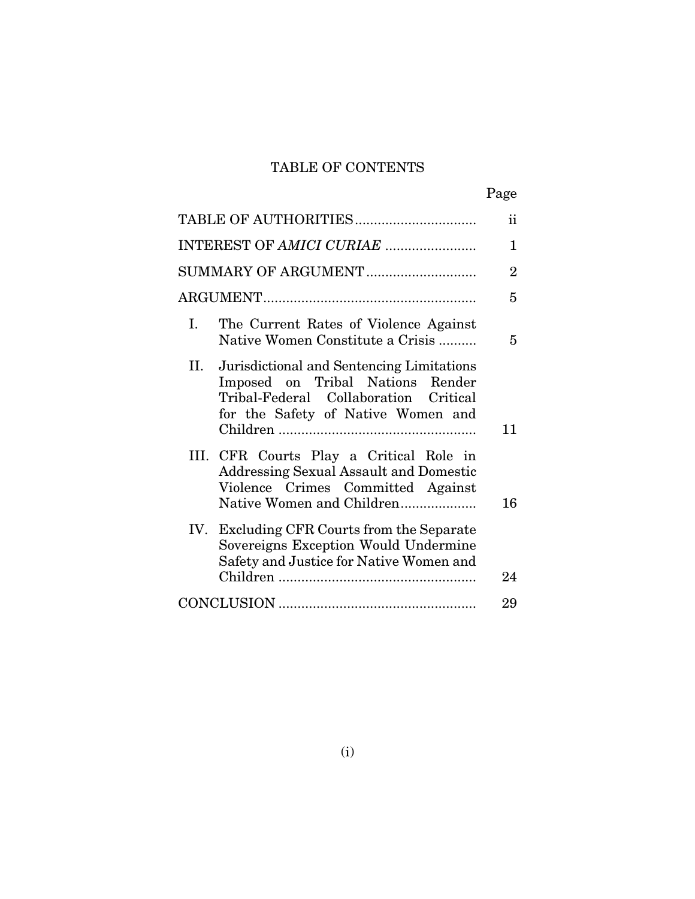### TABLE OF CONTENTS

|                                                                                                                                                                  | Page                |
|------------------------------------------------------------------------------------------------------------------------------------------------------------------|---------------------|
|                                                                                                                                                                  | $\ddot{\textbf{i}}$ |
| INTEREST OF AMICI CURIAE                                                                                                                                         | 1                   |
| SUMMARY OF ARGUMENT                                                                                                                                              | $\overline{2}$      |
|                                                                                                                                                                  | 5                   |
| I.<br>The Current Rates of Violence Against<br>Native Women Constitute a Crisis                                                                                  | 5                   |
| II. Jurisdictional and Sentencing Limitations<br>Imposed on Tribal Nations Render<br>Tribal-Federal Collaboration Critical<br>for the Safety of Native Women and | 11                  |
| III. CFR Courts Play a Critical Role in<br><b>Addressing Sexual Assault and Domestic</b><br>Violence Crimes Committed Against<br>Native Women and Children       | 16                  |
| IV. Excluding CFR Courts from the Separate<br>Sovereigns Exception Would Undermine<br>Safety and Justice for Native Women and                                    | 24                  |
|                                                                                                                                                                  | 29                  |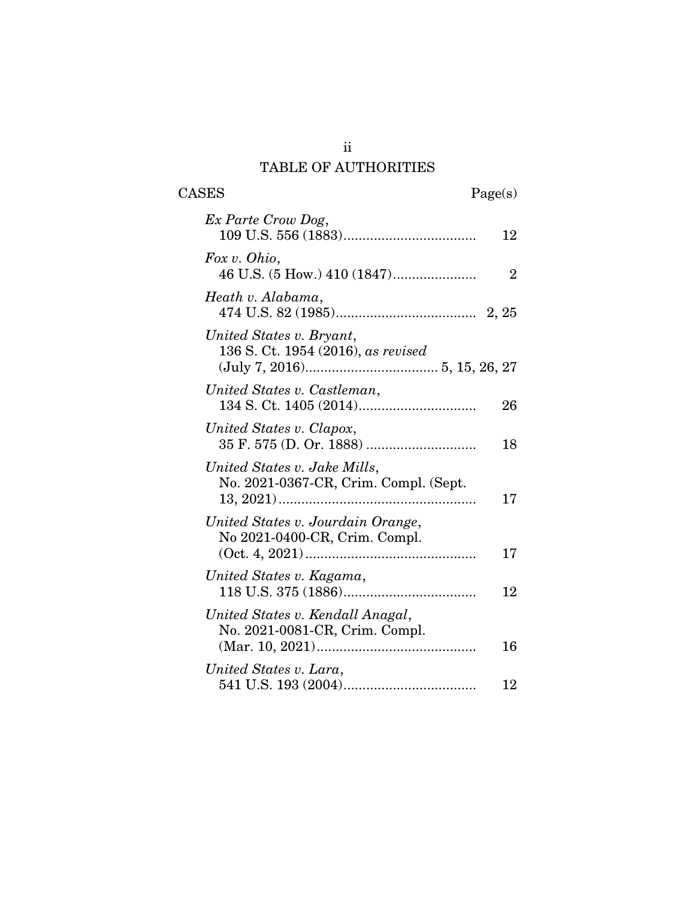### ii TABLE OF AUTHORITIES

CASES Page(s)

| Ex Parte Crow Dog,                                                    | 12             |
|-----------------------------------------------------------------------|----------------|
| Fox v. Ohio,                                                          | $\overline{2}$ |
| Heath v. Alabama,                                                     |                |
| United States v. Bryant,<br>136 S. Ct. 1954 (2016), as revised        |                |
| United States v. Castleman,                                           | 26             |
| United States v. Clapox,                                              | 18             |
| United States v. Jake Mills,<br>No. 2021-0367-CR, Crim. Compl. (Sept. | 17             |
| United States v. Jourdain Orange,<br>No 2021-0400-CR, Crim. Compl.    | 17             |
| United States v. Kagama,                                              | 12             |
| United States v. Kendall Anagal,<br>No. 2021-0081-CR, Crim. Compl.    | 16             |
| United States v. Lara,                                                | 12             |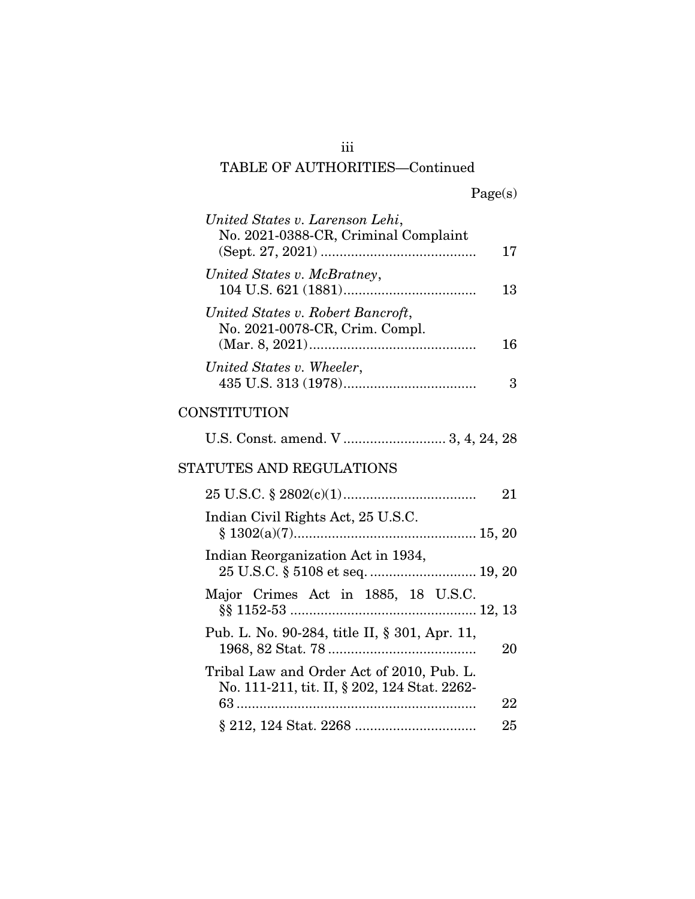| United States v. Larenson Lehi,<br>No. 2021-0388-CR, Criminal Complaint                   | 17 |
|-------------------------------------------------------------------------------------------|----|
| United States v. McBratney,                                                               | 13 |
| United States v. Robert Bancroft,<br>No. 2021-0078-CR, Crim. Compl.                       | 16 |
| United States v. Wheeler,                                                                 | 3  |
| CONSTITUTION                                                                              |    |
| U.S. Const. amend. V  3, 4, 24, 28                                                        |    |
| STATUTES AND REGULATIONS                                                                  |    |
|                                                                                           | 21 |
| Indian Civil Rights Act, 25 U.S.C.                                                        |    |
| Indian Reorganization Act in 1934,<br>25 U.S.C. § 5108 et seq.  19, 20                    |    |
| Major Crimes Act in 1885, 18 U.S.C.                                                       |    |
| Pub. L. No. 90-284, title II, § 301, Apr. 11,                                             | 20 |
| Tribal Law and Order Act of 2010, Pub. L.<br>No. 111-211, tit. II, § 202, 124 Stat. 2262- |    |
| $63$                                                                                      | 22 |
|                                                                                           | 25 |

iii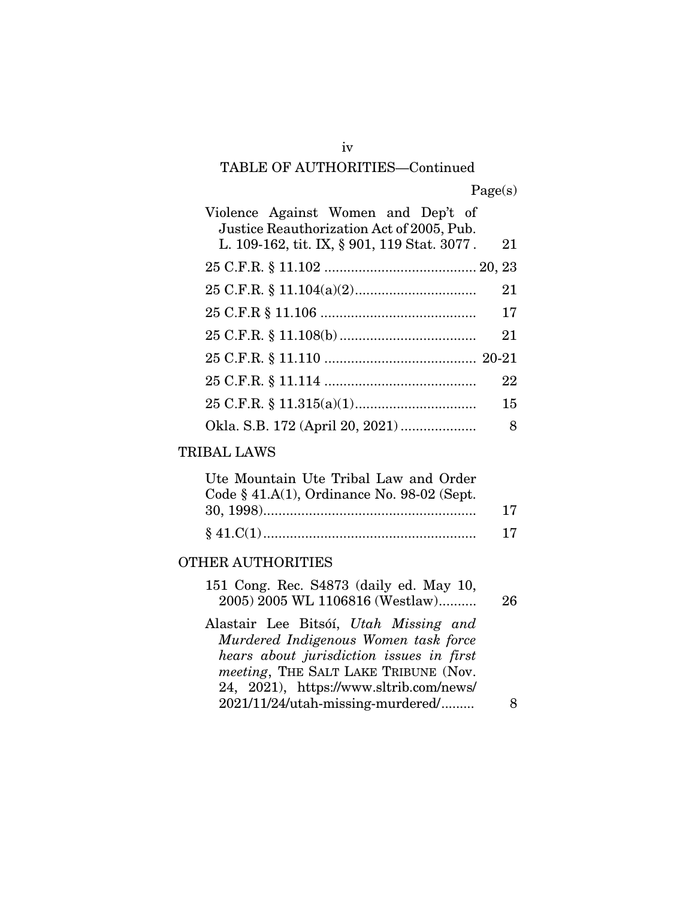| Violence Against Women and Dep't of         |    |
|---------------------------------------------|----|
| Justice Reauthorization Act of 2005, Pub.   |    |
| L. 109-162, tit. IX, § 901, 119 Stat. 3077. | 21 |
|                                             |    |
|                                             | 21 |
|                                             | 17 |
|                                             | 21 |
|                                             |    |
|                                             | 22 |
|                                             | 15 |
|                                             | 8  |

#### TRIBAL LAWS

| Ute Mountain Ute Tribal Law and Order        |    |
|----------------------------------------------|----|
| Code $§$ 41.A(1), Ordinance No. 98-02 (Sept. |    |
|                                              | 17 |
|                                              | 17 |

#### OTHER AUTHORITIES

| 151 Cong. Rec. S4873 (daily ed. May 10,<br>2005) 2005 WL 1106816 (Westlaw) | 26 |
|----------------------------------------------------------------------------|----|
| Alastair Lee Bitsóí, Utah Missing and                                      |    |
| Murdered Indigenous Women task force                                       |    |
| hears about jurisdiction issues in first                                   |    |
| <i>meeting</i> , THE SALT LAKE TRIBUNE (Nov.                               |    |
| 24, 2021), https://www.sltrib.com/news/                                    |    |
| 2021/11/24/utah-missing-murdered/                                          |    |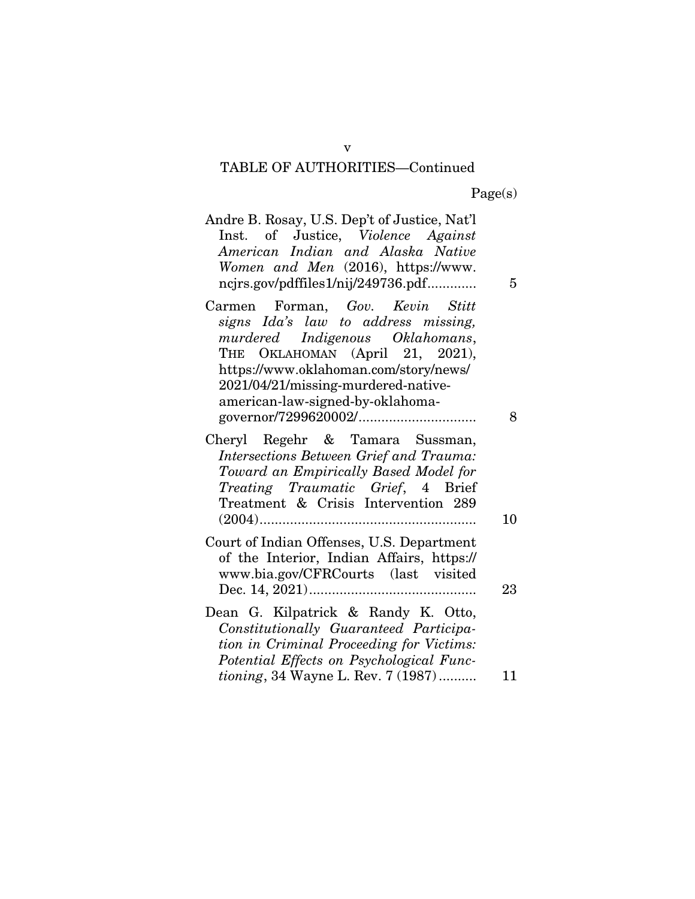Page(s)

| Andre B. Rosay, U.S. Dep't of Justice, Nat'l<br>Inst. of Justice, Violence Against<br>American Indian and Alaska Native<br>Women and Men (2016), https://www.<br>ncjrs.gov/pdffiles1/nij/249736.pdf                                                              | 5       |
|------------------------------------------------------------------------------------------------------------------------------------------------------------------------------------------------------------------------------------------------------------------|---------|
| Carmen Forman, Gov. Kevin Stitt<br>signs Ida's law to address missing,<br>murdered Indigenous Oklahomans,<br>THE OKLAHOMAN (April 21, 2021),<br>https://www.oklahoman.com/story/news/<br>2021/04/21/missing-murdered-native-<br>american-law-signed-by-oklahoma- |         |
| Cheryl Regehr & Tamara Sussman,<br>Intersections Between Grief and Trauma:<br>Toward an Empirically Based Model for<br>Treating Traumatic Grief, 4 Brief<br>Treatment & Crisis Intervention 289                                                                  | 8<br>10 |
| Court of Indian Offenses, U.S. Department<br>of the Interior, Indian Affairs, https://<br>www.bia.gov/CFRCourts (last visited                                                                                                                                    | 23      |
| Dean G. Kilpatrick & Randy K. Otto,<br>Constitutionally Guaranteed Participa-<br>tion in Criminal Proceeding for Victims:<br>Potential Effects on Psychological Func-<br><i>tioning</i> , 34 Wayne L. Rev. 7 (1987)                                              | 11      |

v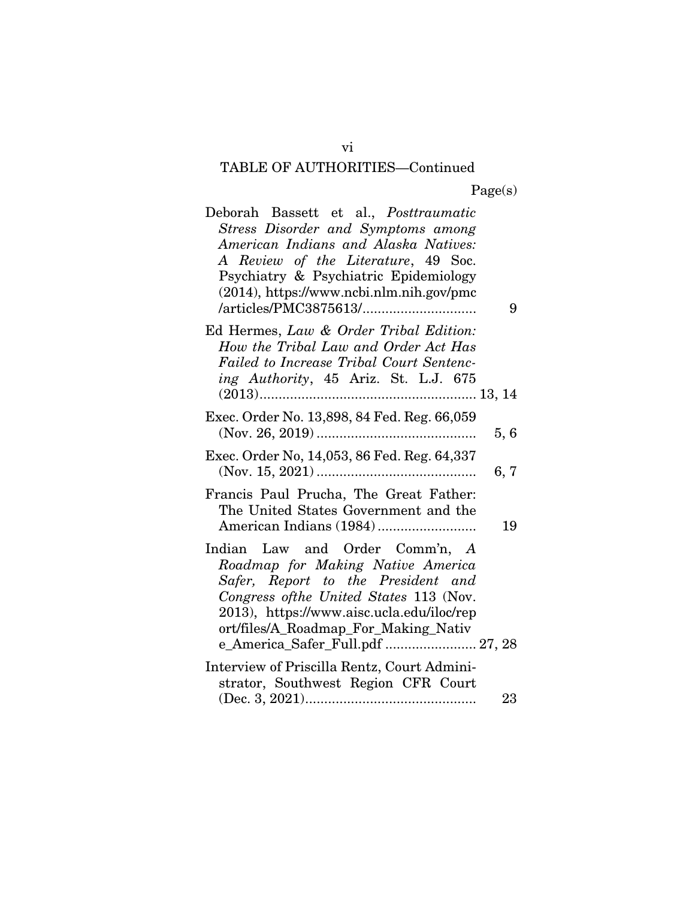| Deborah Bassett et al., Posttraumatic                                                |     |
|--------------------------------------------------------------------------------------|-----|
| Stress Disorder and Symptoms among                                                   |     |
| American Indians and Alaska Natives:                                                 |     |
| A Review of the Literature, 49 Soc.                                                  |     |
| Psychiatry & Psychiatric Epidemiology                                                |     |
| $(2014)$ , https://www.ncbi.nlm.nih.gov/pmc                                          |     |
|                                                                                      | 9   |
| Ed Hermes, Law & Order Tribal Edition:                                               |     |
| How the Tribal Law and Order Act Has                                                 |     |
| Failed to Increase Tribal Court Sentenc-                                             |     |
| ing Authority, 45 Ariz. St. L.J. 675                                                 |     |
|                                                                                      |     |
| Exec. Order No. 13,898, 84 Fed. Reg. 66,059                                          |     |
|                                                                                      | 5,6 |
| Exec. Order No, 14,053, 86 Fed. Reg. 64,337                                          |     |
|                                                                                      | 6,7 |
| Francis Paul Prucha, The Great Father:                                               |     |
| The United States Government and the                                                 |     |
|                                                                                      | 19  |
|                                                                                      |     |
| Indian Law and Order Comm'n, A                                                       |     |
| Roadmap for Making Native America                                                    |     |
| Safer, Report to the President and                                                   |     |
| Congress of the United States 113 (Nov.<br>2013), https://www.aisc.ucla.edu/iloc/rep |     |
| ort/files/A_Roadmap_For_Making_Nativ                                                 |     |
| e_America_Safer_Full.pdf  27, 28                                                     |     |
| Interview of Priscilla Rentz, Court Admini-                                          |     |
| strator, Southwest Region CFR Court                                                  |     |
|                                                                                      | 23  |

vi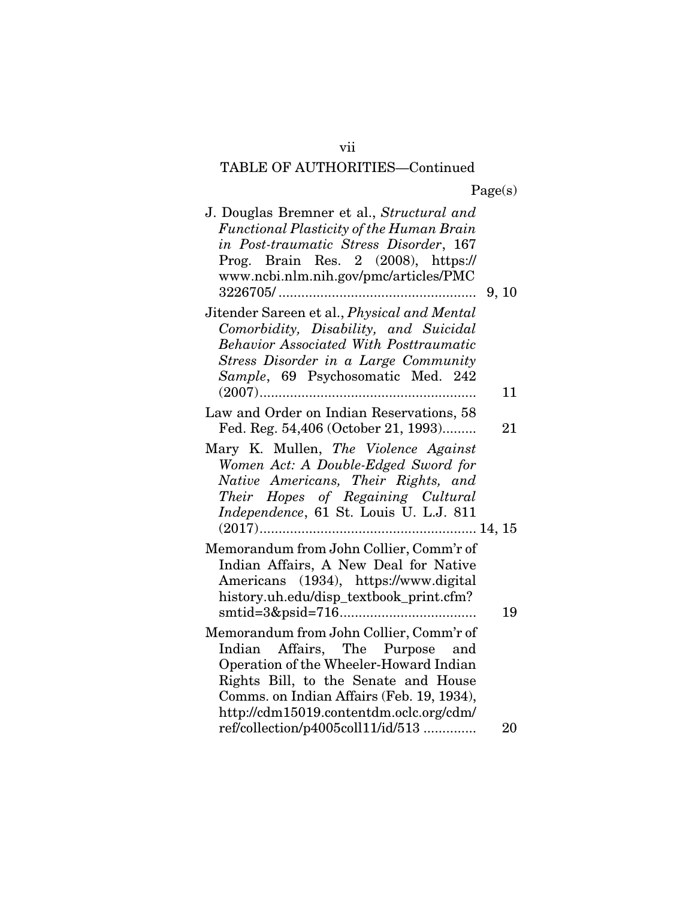| J. Douglas Bremner et al., Structural and<br>Functional Plasticity of the Human Brain<br>in Post-traumatic Stress Disorder, 167<br>Prog. Brain Res. 2 (2008), https://<br>www.ncbi.nlm.nih.gov/pmc/articles/PMC                                      | 9, 10 |
|------------------------------------------------------------------------------------------------------------------------------------------------------------------------------------------------------------------------------------------------------|-------|
| Jitender Sareen et al., <i>Physical and Mental</i><br>Comorbidity, Disability, and Suicidal<br><b>Behavior Associated With Posttraumatic</b><br>Stress Disorder in a Large Community<br>Sample, 69 Psychosomatic Med. 242                            |       |
|                                                                                                                                                                                                                                                      | 11    |
| Law and Order on Indian Reservations, 58<br>Fed. Reg. 54,406 (October 21, 1993)                                                                                                                                                                      | 21    |
| Mary K. Mullen, The Violence Against<br>Women Act: A Double-Edged Sword for<br>Native Americans, Their Rights, and<br>Their Hopes of Regaining Cultural<br>Independence, 61 St. Louis U. L.J. 811                                                    |       |
| Memorandum from John Collier, Comm'r of<br>Indian Affairs, A New Deal for Native<br>Americans (1934), https://www.digital<br>history.uh.edu/disp_textbook_print.cfm?                                                                                 |       |
|                                                                                                                                                                                                                                                      | 19    |
| Memorandum from John Collier, Comm'r of<br>Indian Affairs, The Purpose and<br>Operation of the Wheeler-Howard Indian<br>Rights Bill, to the Senate and House<br>Comms. on Indian Affairs (Feb. 19, 1934),<br>http://cdm15019.contentdm.oclc.org/cdm/ |       |
| ref/collection/p4005coll11/id/513                                                                                                                                                                                                                    | 20    |

vii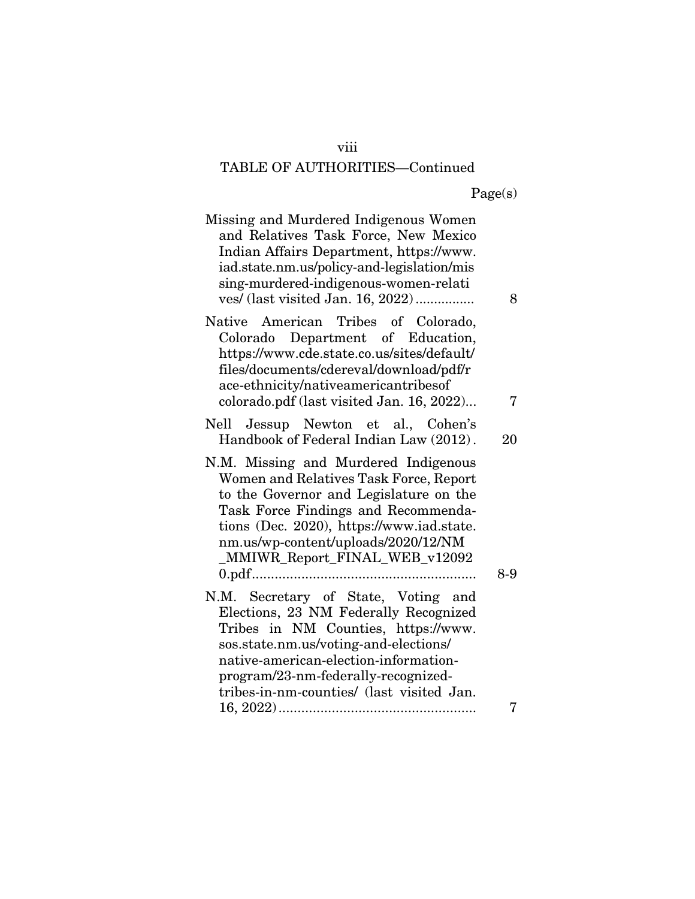#### viii

## TABLE OF AUTHORITIES—Continued

|  | Page(s) |
|--|---------|
|  |         |

| Missing and Murdered Indigenous Women<br>and Relatives Task Force, New Mexico<br>Indian Affairs Department, https://www.<br>iad.state.nm.us/policy-and-legislation/mis<br>sing-murdered-indigenous-women-relati<br>ves/ (last visited Jan. 16, 2022)                                  | 8   |
|---------------------------------------------------------------------------------------------------------------------------------------------------------------------------------------------------------------------------------------------------------------------------------------|-----|
| Native American Tribes of Colorado,<br>Colorado Department of Education,<br>https://www.cde.state.co.us/sites/default/<br>files/documents/cdereval/download/pdf/r<br>ace-ethnicity/nativeamericantribesof<br>colorado.pdf (last visited Jan. 16, 2022)                                | 7   |
| Nell Jessup Newton et al., Cohen's<br>Handbook of Federal Indian Law (2012).                                                                                                                                                                                                          | 20  |
| N.M. Missing and Murdered Indigenous<br>Women and Relatives Task Force, Report<br>to the Governor and Legislature on the<br>Task Force Findings and Recommenda-<br>tions (Dec. 2020), https://www.iad.state.<br>nm.us/wp-content/uploads/2020/12/NM<br>_MMIWR_Report_FINAL_WEB_v12092 | 8-9 |
| N.M. Secretary of State, Voting and<br>Elections, 23 NM Federally Recognized<br>Tribes in NM Counties, https://www.<br>sos.state.nm.us/voting-and-elections/<br>native-american-election-information-<br>program/23-nm-federally-recognized-                                          |     |
| tribes-in-nm-counties/ (last visited Jan.                                                                                                                                                                                                                                             | 7   |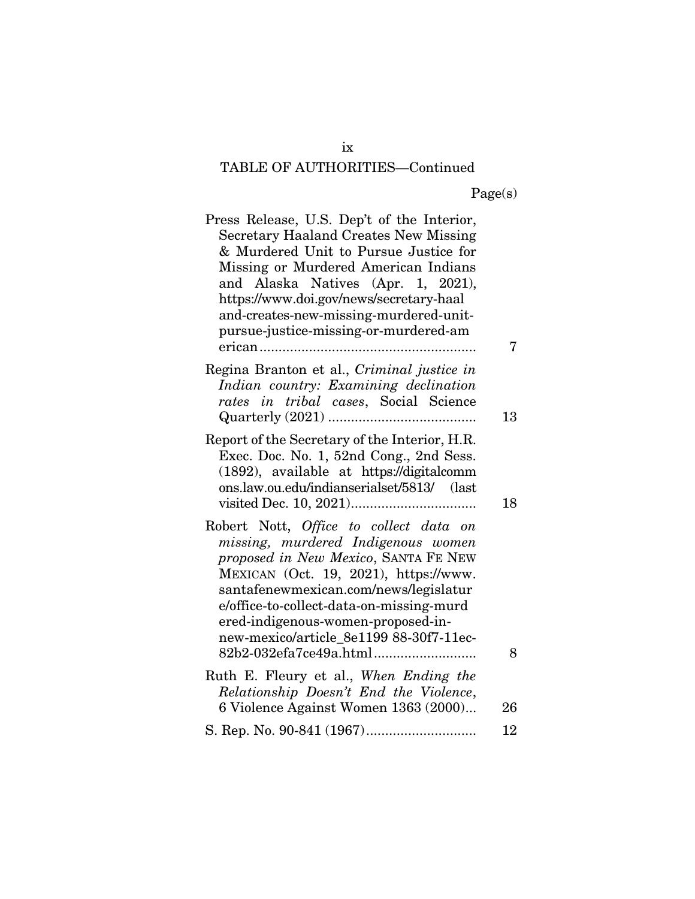| Press Release, U.S. Dep't of the Interior,<br><b>Secretary Haaland Creates New Missing</b><br>& Murdered Unit to Pursue Justice for<br>Missing or Murdered American Indians<br>and Alaska Natives (Apr. 1, 2021),<br>https://www.doi.gov/news/secretary-haal<br>and-creates-new-missing-murdered-unit-<br>pursue-justice-missing-or-murdered-am |    |
|-------------------------------------------------------------------------------------------------------------------------------------------------------------------------------------------------------------------------------------------------------------------------------------------------------------------------------------------------|----|
|                                                                                                                                                                                                                                                                                                                                                 | 7  |
| Regina Branton et al., Criminal justice in<br>Indian country: Examining declination<br>rates in tribal cases, Social Science                                                                                                                                                                                                                    |    |
|                                                                                                                                                                                                                                                                                                                                                 | 13 |
| Report of the Secretary of the Interior, H.R.<br>Exec. Doc. No. 1, 52nd Cong., 2nd Sess.<br>(1892), available at https://digitalcomm<br>ons.law.ou.edu/indianserialset/5813/ (last                                                                                                                                                              | 18 |
| Robert Nott, Office to collect data on<br>missing, murdered Indigenous women<br>proposed in New Mexico, SANTA FE NEW<br>MEXICAN (Oct. 19, 2021), https://www.<br>santafenewmexican.com/news/legislatur<br>e/office-to-collect-data-on-missing-murd<br>ered-indigenous-women-proposed-in-<br>new-mexico/article_8e1199 88-30f7-11ec-             |    |
|                                                                                                                                                                                                                                                                                                                                                 | 8  |
| Ruth E. Fleury et al., When Ending the<br>Relationship Doesn't End the Violence,<br>6 Violence Against Women 1363 (2000)                                                                                                                                                                                                                        | 26 |
|                                                                                                                                                                                                                                                                                                                                                 | 12 |
|                                                                                                                                                                                                                                                                                                                                                 |    |

ix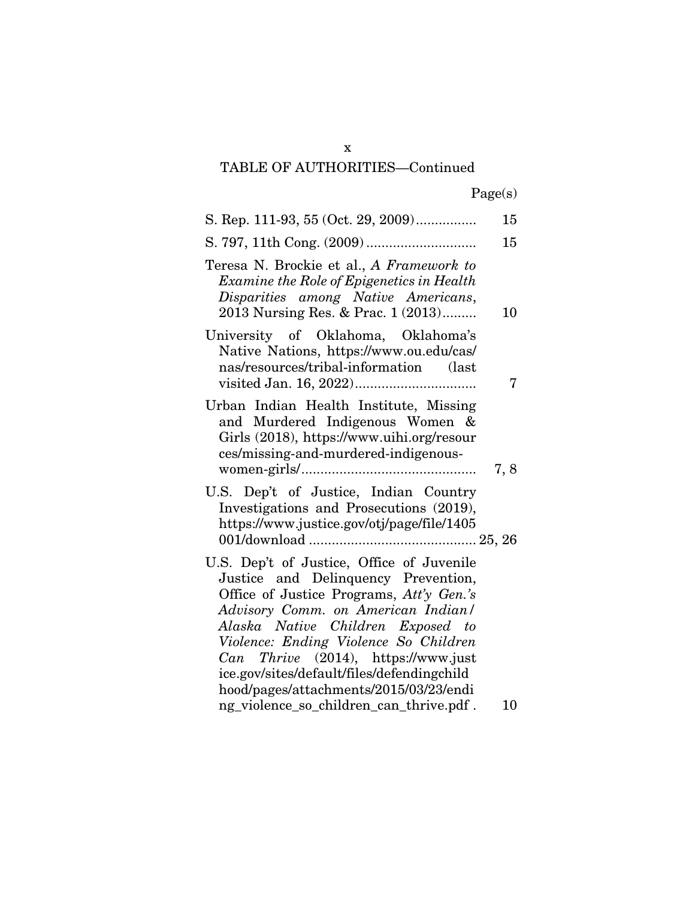|  | Page(s) |
|--|---------|
|  |         |

| S. Rep. 111-93, 55 (Oct. 29, 2009)                                                                                                                                                                                                                                                                                                                                                 | 15  |
|------------------------------------------------------------------------------------------------------------------------------------------------------------------------------------------------------------------------------------------------------------------------------------------------------------------------------------------------------------------------------------|-----|
|                                                                                                                                                                                                                                                                                                                                                                                    | 15  |
| Teresa N. Brockie et al., A Framework to<br>Examine the Role of Epigenetics in Health<br>Disparities among Native Americans,<br>2013 Nursing Res. & Prac. 1 (2013)                                                                                                                                                                                                                 | 10  |
| University of Oklahoma, Oklahoma's<br>Native Nations, https://www.ou.edu/cas/<br>nas/resources/tribal-information (last                                                                                                                                                                                                                                                            | 7   |
| Urban Indian Health Institute, Missing<br>and Murdered Indigenous Women &<br>Girls (2018), https://www.uihi.org/resour<br>ces/missing-and-murdered-indigenous-                                                                                                                                                                                                                     | 7,8 |
| U.S. Dep't of Justice, Indian Country<br>Investigations and Prosecutions (2019),<br>https://www.justice.gov/otj/page/file/1405                                                                                                                                                                                                                                                     |     |
| U.S. Dep't of Justice, Office of Juvenile<br>Justice and Delinquency Prevention,<br>Office of Justice Programs, Att'y Gen.'s<br>Advisory Comm. on American Indian/<br>Alaska Native Children Exposed to<br>Violence: Ending Violence So Children<br>Thrive (2014), https://www.just<br>Can<br>ice.gov/sites/default/files/defendingchild<br>hood/pages/attachments/2015/03/23/endi |     |
| ng_violence_so_children_can_thrive.pdf.                                                                                                                                                                                                                                                                                                                                            | 10  |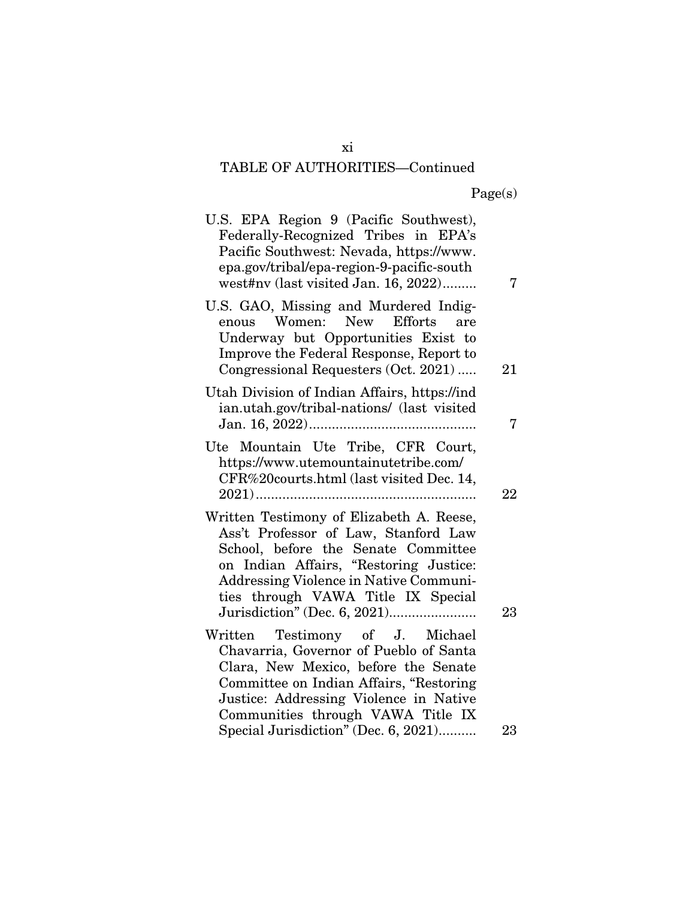| U.S. EPA Region 9 (Pacific Southwest),<br>Federally-Recognized Tribes in EPA's<br>Pacific Southwest: Nevada, https://www.<br>epa.gov/tribal/epa-region-9-pacific-south<br>west#nv (last visited Jan. 16, 2022)                                    | 7      |
|---------------------------------------------------------------------------------------------------------------------------------------------------------------------------------------------------------------------------------------------------|--------|
| U.S. GAO, Missing and Murdered Indig-<br>Women: New<br><b>Efforts</b><br>enous<br>are<br>Underway but Opportunities Exist to<br>Improve the Federal Response, Report to<br>Congressional Requesters (Oct. 2021)                                   | 21     |
| Utah Division of Indian Affairs, https://ind<br>ian.utah.gov/tribal-nations/ (last visited                                                                                                                                                        | 7      |
| Ute Mountain Ute Tribe, CFR Court,<br>https://www.utemountainutetribe.com/<br>CFR%20courts.html (last visited Dec. 14,                                                                                                                            | $22\,$ |
| Written Testimony of Elizabeth A. Reese,<br>Ass't Professor of Law, Stanford Law<br>School, before the Senate Committee<br>on Indian Affairs, "Restoring Justice:<br>Addressing Violence in Native Communi-<br>ties through VAWA Title IX Special | 23     |
| Written Testimony of J. Michael<br>Chavarria, Governor of Pueblo of Santa<br>Clara, New Mexico, before the Senate<br>Committee on Indian Affairs, "Restoring<br>Justice: Addressing Violence in Native<br>Communities through VAWA Title IX       |        |
| Special Jurisdiction" (Dec. 6, 2021)                                                                                                                                                                                                              | 23     |

xi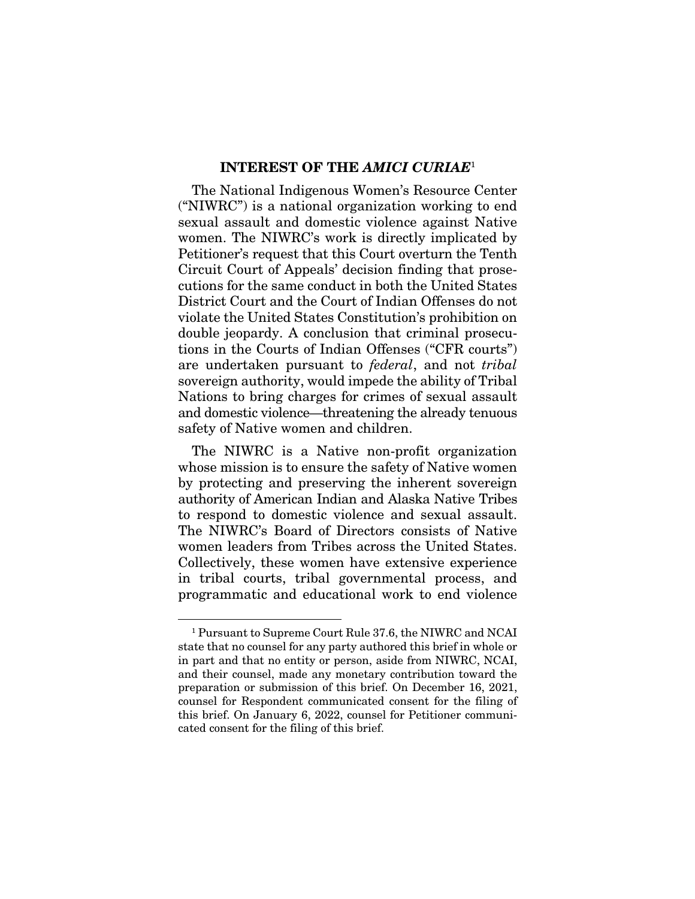#### INTEREST OF THE *AMICI CURIAE*<sup>1</sup>

The National Indigenous Women's Resource Center ("NIWRC") is a national organization working to end sexual assault and domestic violence against Native women. The NIWRC's work is directly implicated by Petitioner's request that this Court overturn the Tenth Circuit Court of Appeals' decision finding that prosecutions for the same conduct in both the United States District Court and the Court of Indian Offenses do not violate the United States Constitution's prohibition on double jeopardy. A conclusion that criminal prosecutions in the Courts of Indian Offenses ("CFR courts") are undertaken pursuant to *federal*, and not *tribal* sovereign authority, would impede the ability of Tribal Nations to bring charges for crimes of sexual assault and domestic violence—threatening the already tenuous safety of Native women and children.

The NIWRC is a Native non-profit organization whose mission is to ensure the safety of Native women by protecting and preserving the inherent sovereign authority of American Indian and Alaska Native Tribes to respond to domestic violence and sexual assault. The NIWRC's Board of Directors consists of Native women leaders from Tribes across the United States. Collectively, these women have extensive experience in tribal courts, tribal governmental process, and programmatic and educational work to end violence

<sup>1</sup> Pursuant to Supreme Court Rule 37.6, the NIWRC and NCAI state that no counsel for any party authored this brief in whole or in part and that no entity or person, aside from NIWRC, NCAI, and their counsel, made any monetary contribution toward the preparation or submission of this brief. On December 16, 2021, counsel for Respondent communicated consent for the filing of this brief. On January 6, 2022, counsel for Petitioner communicated consent for the filing of this brief.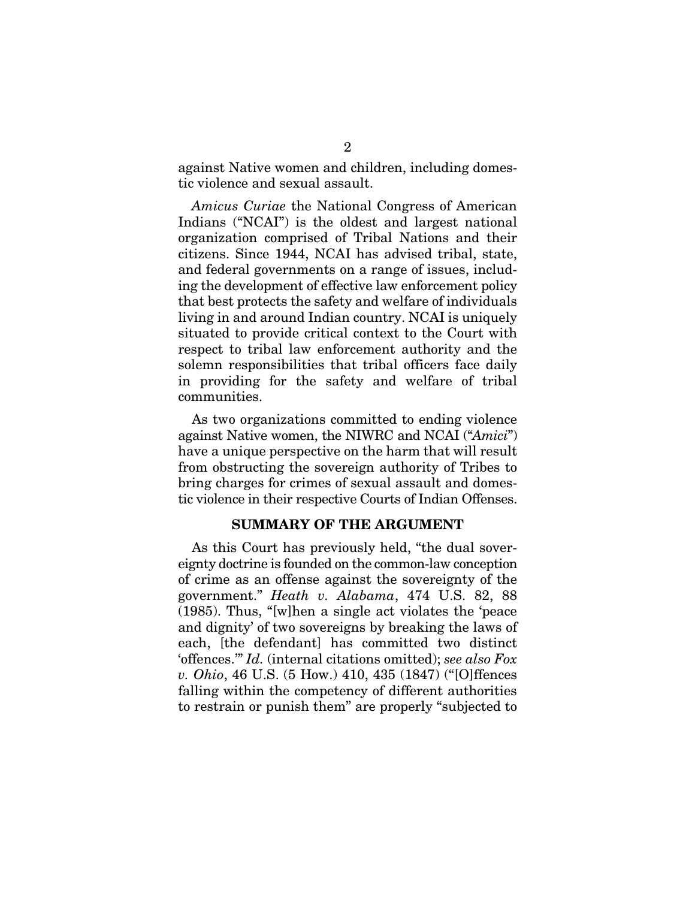against Native women and children, including domestic violence and sexual assault.

*Amicus Curiae* the National Congress of American Indians ("NCAI") is the oldest and largest national organization comprised of Tribal Nations and their citizens. Since 1944, NCAI has advised tribal, state, and federal governments on a range of issues, including the development of effective law enforcement policy that best protects the safety and welfare of individuals living in and around Indian country. NCAI is uniquely situated to provide critical context to the Court with respect to tribal law enforcement authority and the solemn responsibilities that tribal officers face daily in providing for the safety and welfare of tribal communities.

As two organizations committed to ending violence against Native women, the NIWRC and NCAI ("*Amici*") have a unique perspective on the harm that will result from obstructing the sovereign authority of Tribes to bring charges for crimes of sexual assault and domestic violence in their respective Courts of Indian Offenses.

#### SUMMARY OF THE ARGUMENT

As this Court has previously held, "the dual sovereignty doctrine is founded on the common-law conception of crime as an offense against the sovereignty of the government." *Heath v. Alabama*, 474 U.S. 82, 88 (1985). Thus, "[w]hen a single act violates the 'peace and dignity' of two sovereigns by breaking the laws of each, [the defendant] has committed two distinct 'offences.'" *Id.* (internal citations omitted); *see also Fox v. Ohio*, 46 U.S. (5 How.) 410, 435 (1847) ("[O]ffences falling within the competency of different authorities to restrain or punish them" are properly "subjected to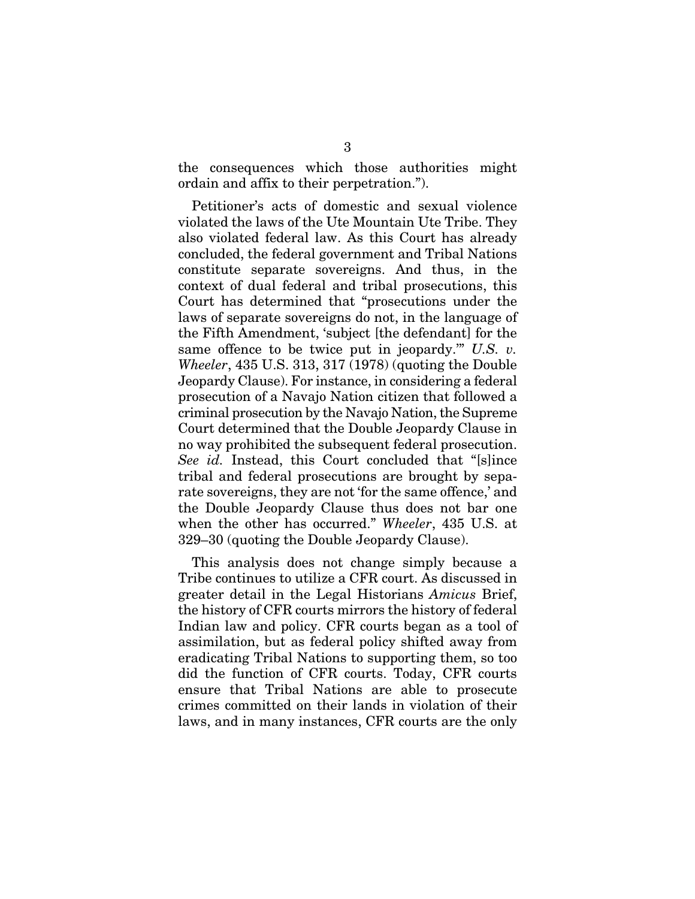the consequences which those authorities might ordain and affix to their perpetration.").

Petitioner's acts of domestic and sexual violence violated the laws of the Ute Mountain Ute Tribe. They also violated federal law. As this Court has already concluded, the federal government and Tribal Nations constitute separate sovereigns. And thus, in the context of dual federal and tribal prosecutions, this Court has determined that "prosecutions under the laws of separate sovereigns do not, in the language of the Fifth Amendment, 'subject [the defendant] for the same offence to be twice put in jeopardy.'" *U.S. v. Wheeler*, 435 U.S. 313, 317 (1978) (quoting the Double Jeopardy Clause). For instance, in considering a federal prosecution of a Navajo Nation citizen that followed a criminal prosecution by the Navajo Nation, the Supreme Court determined that the Double Jeopardy Clause in no way prohibited the subsequent federal prosecution. *See id.* Instead, this Court concluded that "[s]ince tribal and federal prosecutions are brought by separate sovereigns, they are not 'for the same offence,' and the Double Jeopardy Clause thus does not bar one when the other has occurred." *Wheeler*, 435 U.S. at 329–30 (quoting the Double Jeopardy Clause).

This analysis does not change simply because a Tribe continues to utilize a CFR court. As discussed in greater detail in the Legal Historians *Amicus* Brief, the history of CFR courts mirrors the history of federal Indian law and policy. CFR courts began as a tool of assimilation, but as federal policy shifted away from eradicating Tribal Nations to supporting them, so too did the function of CFR courts. Today, CFR courts ensure that Tribal Nations are able to prosecute crimes committed on their lands in violation of their laws, and in many instances, CFR courts are the only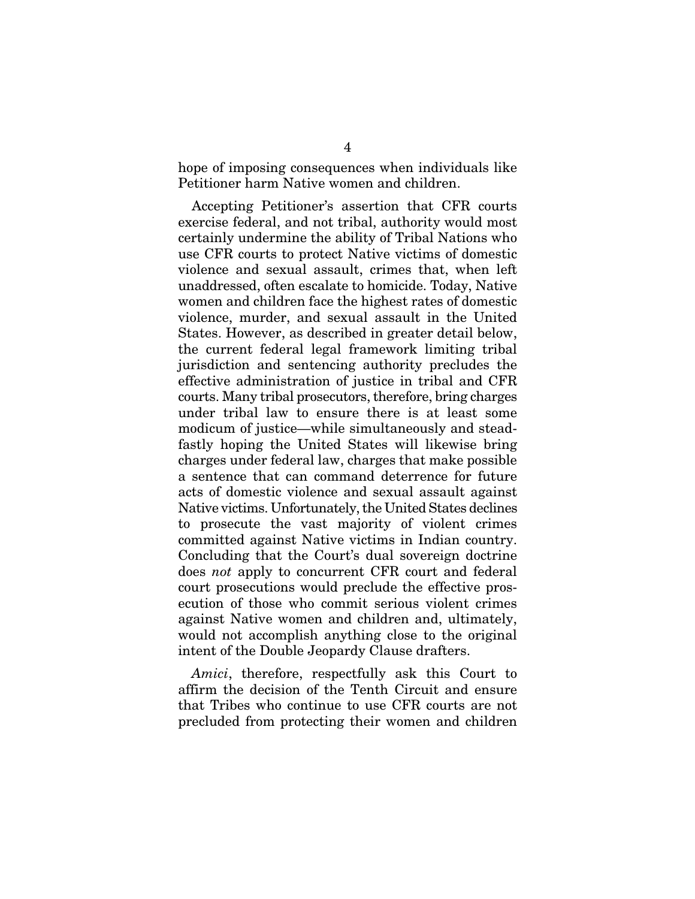hope of imposing consequences when individuals like Petitioner harm Native women and children.

Accepting Petitioner's assertion that CFR courts exercise federal, and not tribal, authority would most certainly undermine the ability of Tribal Nations who use CFR courts to protect Native victims of domestic violence and sexual assault, crimes that, when left unaddressed, often escalate to homicide. Today, Native women and children face the highest rates of domestic violence, murder, and sexual assault in the United States. However, as described in greater detail below, the current federal legal framework limiting tribal jurisdiction and sentencing authority precludes the effective administration of justice in tribal and CFR courts. Many tribal prosecutors, therefore, bring charges under tribal law to ensure there is at least some modicum of justice—while simultaneously and steadfastly hoping the United States will likewise bring charges under federal law, charges that make possible a sentence that can command deterrence for future acts of domestic violence and sexual assault against Native victims. Unfortunately, the United States declines to prosecute the vast majority of violent crimes committed against Native victims in Indian country. Concluding that the Court's dual sovereign doctrine does *not* apply to concurrent CFR court and federal court prosecutions would preclude the effective prosecution of those who commit serious violent crimes against Native women and children and, ultimately, would not accomplish anything close to the original intent of the Double Jeopardy Clause drafters.

*Amici*, therefore, respectfully ask this Court to affirm the decision of the Tenth Circuit and ensure that Tribes who continue to use CFR courts are not precluded from protecting their women and children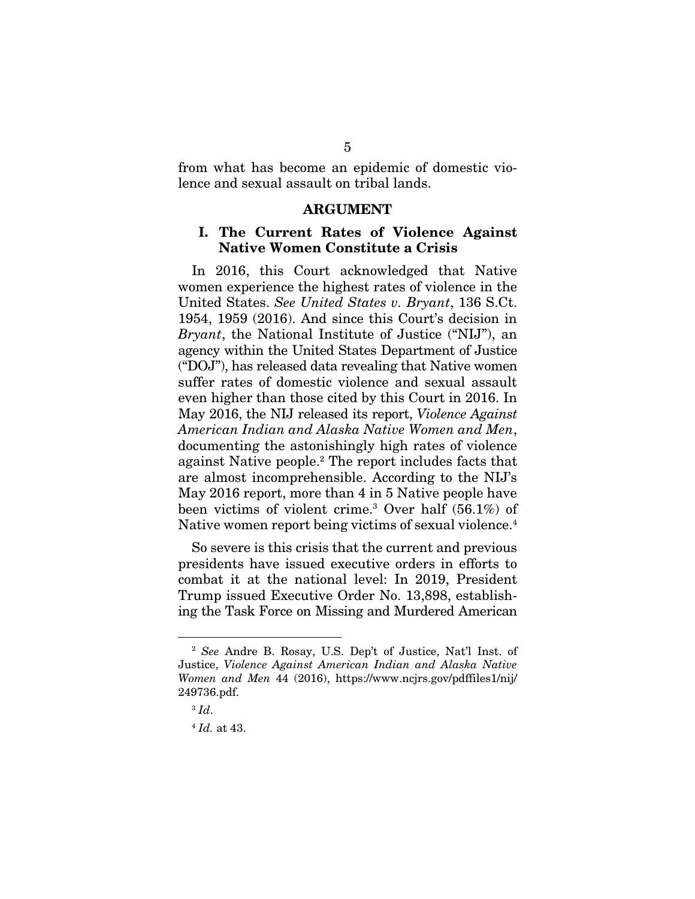from what has become an epidemic of domestic violence and sexual assault on tribal lands.

#### ARGUMENT

#### I. The Current Rates of Violence Against Native Women Constitute a Crisis

In 2016, this Court acknowledged that Native women experience the highest rates of violence in the United States. *See United States v. Bryant*, 136 S.Ct. 1954, 1959 (2016). And since this Court's decision in *Bryant*, the National Institute of Justice ("NIJ"), an agency within the United States Department of Justice ("DOJ"), has released data revealing that Native women suffer rates of domestic violence and sexual assault even higher than those cited by this Court in 2016. In May 2016, the NIJ released its report, *Violence Against American Indian and Alaska Native Women and Men*, documenting the astonishingly high rates of violence against Native people.2 The report includes facts that are almost incomprehensible. According to the NIJ's May 2016 report, more than 4 in 5 Native people have been victims of violent crime.3 Over half (56.1%) of Native women report being victims of sexual violence.4

So severe is this crisis that the current and previous presidents have issued executive orders in efforts to combat it at the national level: In 2019, President Trump issued Executive Order No. 13,898, establishing the Task Force on Missing and Murdered American

<sup>2</sup> *See* Andre B. Rosay, U.S. Dep't of Justice, Nat'l Inst. of Justice, *Violence Against American Indian and Alaska Native Women and Men* 44 (2016), https://www.ncjrs.gov/pdffiles1/nij/ 249736.pdf.

<sup>3</sup> *Id*.

<sup>4</sup> *Id.* at 43.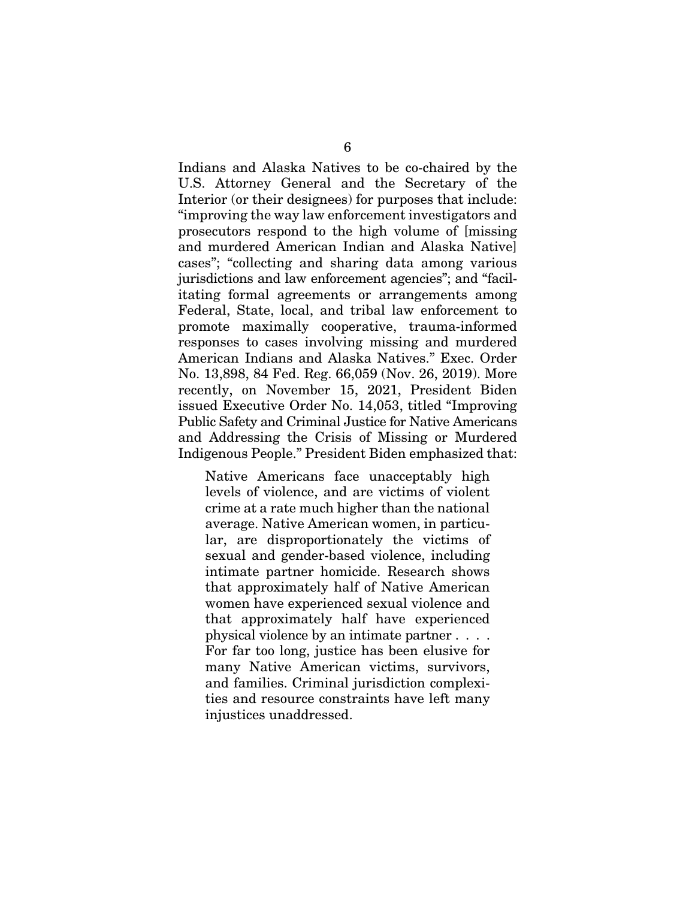Indians and Alaska Natives to be co-chaired by the U.S. Attorney General and the Secretary of the Interior (or their designees) for purposes that include: "improving the way law enforcement investigators and prosecutors respond to the high volume of [missing and murdered American Indian and Alaska Native] cases"; "collecting and sharing data among various jurisdictions and law enforcement agencies"; and "facilitating formal agreements or arrangements among Federal, State, local, and tribal law enforcement to promote maximally cooperative, trauma-informed responses to cases involving missing and murdered American Indians and Alaska Natives." Exec. Order No. 13,898, 84 Fed. Reg. 66,059 (Nov. 26, 2019). More recently, on November 15, 2021, President Biden issued Executive Order No. 14,053, titled "Improving Public Safety and Criminal Justice for Native Americans and Addressing the Crisis of Missing or Murdered Indigenous People." President Biden emphasized that:

Native Americans face unacceptably high levels of violence, and are victims of violent crime at a rate much higher than the national average. Native American women, in particular, are disproportionately the victims of sexual and gender-based violence, including intimate partner homicide. Research shows that approximately half of Native American women have experienced sexual violence and that approximately half have experienced physical violence by an intimate partner . . . . For far too long, justice has been elusive for many Native American victims, survivors, and families. Criminal jurisdiction complexities and resource constraints have left many injustices unaddressed.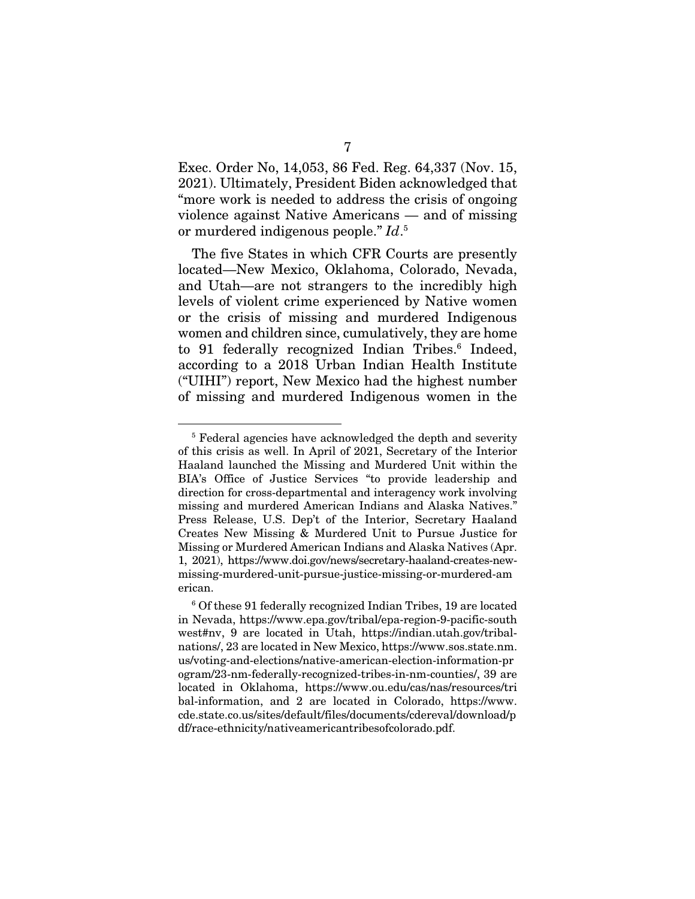Exec. Order No, 14,053, 86 Fed. Reg. 64,337 (Nov. 15, 2021). Ultimately, President Biden acknowledged that "more work is needed to address the crisis of ongoing violence against Native Americans — and of missing or murdered indigenous people." *Id*. 5

The five States in which CFR Courts are presently located—New Mexico, Oklahoma, Colorado, Nevada, and Utah—are not strangers to the incredibly high levels of violent crime experienced by Native women or the crisis of missing and murdered Indigenous women and children since, cumulatively, they are home to 91 federally recognized Indian Tribes.<sup>6</sup> Indeed, according to a 2018 Urban Indian Health Institute ("UIHI") report, New Mexico had the highest number of missing and murdered Indigenous women in the

<sup>&</sup>lt;sup>5</sup> Federal agencies have acknowledged the depth and severity of this crisis as well. In April of 2021, Secretary of the Interior Haaland launched the Missing and Murdered Unit within the BIA's Office of Justice Services "to provide leadership and direction for cross-departmental and interagency work involving missing and murdered American Indians and Alaska Natives." Press Release, U.S. Dep't of the Interior, Secretary Haaland Creates New Missing & Murdered Unit to Pursue Justice for Missing or Murdered American Indians and Alaska Natives (Apr. 1, 2021), https://www.doi.gov/news/secretary-haaland-creates-newmissing-murdered-unit-pursue-justice-missing-or-murdered-am erican.

<sup>6</sup> Of these 91 federally recognized Indian Tribes, 19 are located in Nevada, https://www.epa.gov/tribal/epa-region-9-pacific-south west#nv, 9 are located in Utah, https://indian.utah.gov/tribalnations/, 23 are located in New Mexico, https://www.sos.state.nm. us/voting-and-elections/native-american-election-information-pr ogram/23-nm-federally-recognized-tribes-in-nm-counties/, 39 are located in Oklahoma, https://www.ou.edu/cas/nas/resources/tri bal-information, and 2 are located in Colorado, https://www. cde.state.co.us/sites/default/files/documents/cdereval/download/p df/race-ethnicity/nativeamericantribesofcolorado.pdf.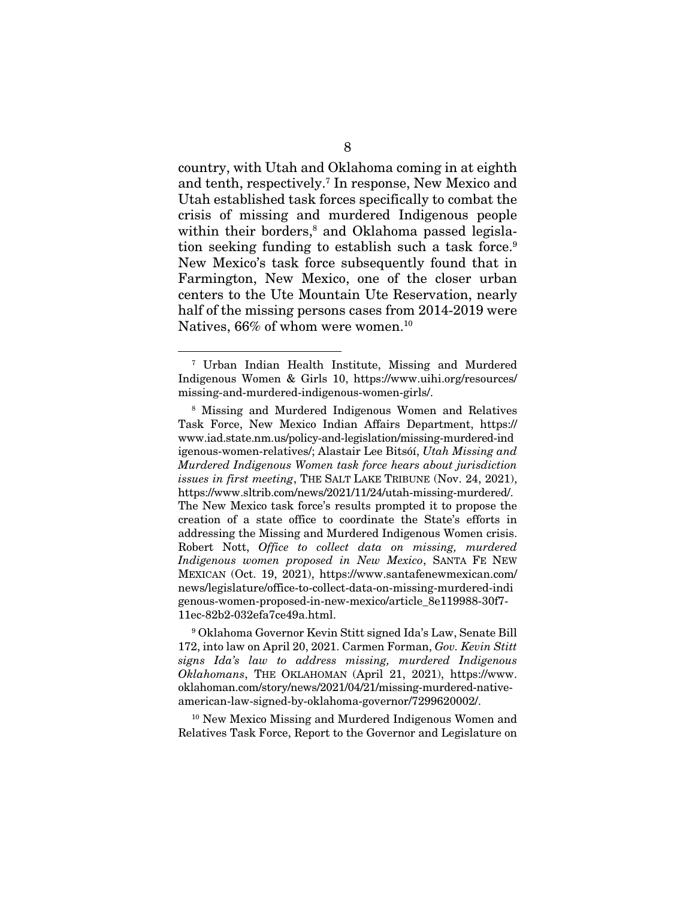country, with Utah and Oklahoma coming in at eighth and tenth, respectively.7 In response, New Mexico and Utah established task forces specifically to combat the crisis of missing and murdered Indigenous people within their borders,<sup>8</sup> and Oklahoma passed legislation seeking funding to establish such a task force.<sup>9</sup> New Mexico's task force subsequently found that in Farmington, New Mexico, one of the closer urban centers to the Ute Mountain Ute Reservation, nearly half of the missing persons cases from 2014-2019 were Natives, 66% of whom were women.<sup>10</sup>

10 New Mexico Missing and Murdered Indigenous Women and Relatives Task Force, Report to the Governor and Legislature on

<sup>7</sup> Urban Indian Health Institute, Missing and Murdered Indigenous Women & Girls 10, https://www.uihi.org/resources/ missing-and-murdered-indigenous-women-girls/.

<sup>8</sup> Missing and Murdered Indigenous Women and Relatives Task Force, New Mexico Indian Affairs Department, https:// www.iad.state.nm.us/policy-and-legislation/missing-murdered-ind igenous-women-relatives/; Alastair Lee Bitsóí, *Utah Missing and Murdered Indigenous Women task force hears about jurisdiction issues in first meeting*, THE SALT LAKE TRIBUNE (Nov. 24, 2021), https://www.sltrib.com/news/2021/11/24/utah-missing-murdered/. The New Mexico task force's results prompted it to propose the creation of a state office to coordinate the State's efforts in addressing the Missing and Murdered Indigenous Women crisis. Robert Nott, *Office to collect data on missing, murdered Indigenous women proposed in New Mexico*, SANTA FE NEW MEXICAN (Oct. 19, 2021), https://www.santafenewmexican.com/ news/legislature/office-to-collect-data-on-missing-murdered-indi genous-women-proposed-in-new-mexico/article\_8e119988-30f7- 11ec-82b2-032efa7ce49a.html.

<sup>9</sup> Oklahoma Governor Kevin Stitt signed Ida's Law, Senate Bill 172, into law on April 20, 2021. Carmen Forman, *Gov. Kevin Stitt signs Ida's law to address missing, murdered Indigenous Oklahomans*, THE OKLAHOMAN (April 21, 2021), https://www. oklahoman.com/story/news/2021/04/21/missing-murdered-nativeamerican-law-signed-by-oklahoma-governor/7299620002/.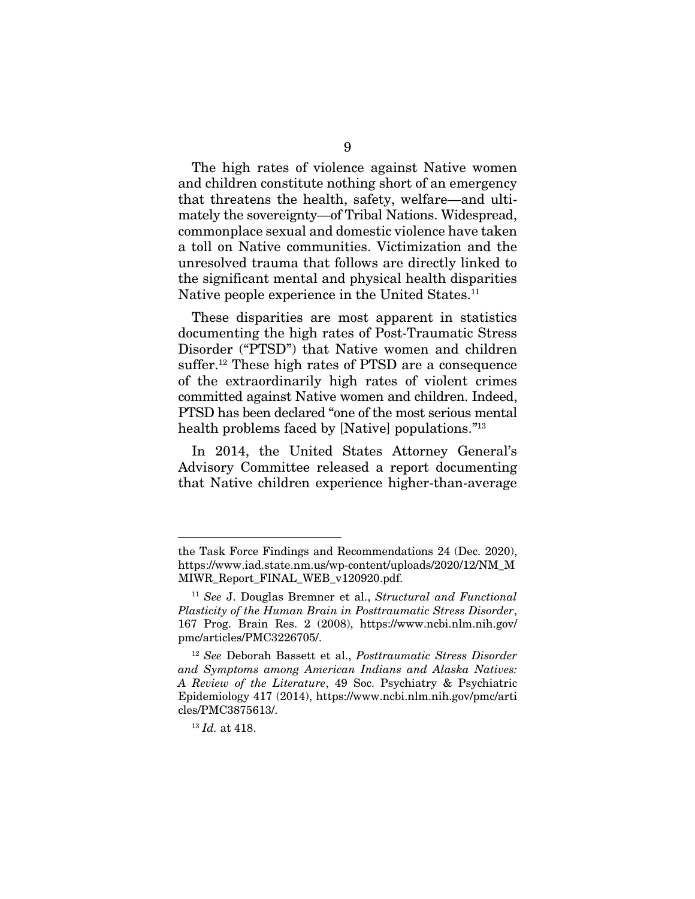The high rates of violence against Native women and children constitute nothing short of an emergency that threatens the health, safety, welfare—and ultimately the sovereignty—of Tribal Nations. Widespread, commonplace sexual and domestic violence have taken a toll on Native communities. Victimization and the unresolved trauma that follows are directly linked to the significant mental and physical health disparities Native people experience in the United States.<sup>11</sup>

These disparities are most apparent in statistics documenting the high rates of Post-Traumatic Stress Disorder ("PTSD") that Native women and children suffer.12 These high rates of PTSD are a consequence of the extraordinarily high rates of violent crimes committed against Native women and children. Indeed, PTSD has been declared "one of the most serious mental health problems faced by [Native] populations."13

In 2014, the United States Attorney General's Advisory Committee released a report documenting that Native children experience higher-than-average

the Task Force Findings and Recommendations 24 (Dec. 2020), https://www.iad.state.nm.us/wp-content/uploads/2020/12/NM\_M MIWR\_Report\_FINAL\_WEB\_v120920.pdf.

<sup>11</sup> *See* J. Douglas Bremner et al., *Structural and Functional Plasticity of the Human Brain in Posttraumatic Stress Disorder*, 167 Prog. Brain Res. 2 (2008), https://www.ncbi.nlm.nih.gov/ pmc/articles/PMC3226705/.

<sup>12</sup> *See* Deborah Bassett et al., *Posttraumatic Stress Disorder and Symptoms among American Indians and Alaska Natives: A Review of the Literature*, 49 Soc. Psychiatry & Psychiatric Epidemiology 417 (2014), https://www.ncbi.nlm.nih.gov/pmc/arti cles/PMC3875613/.

<sup>13</sup> *Id.* at 418.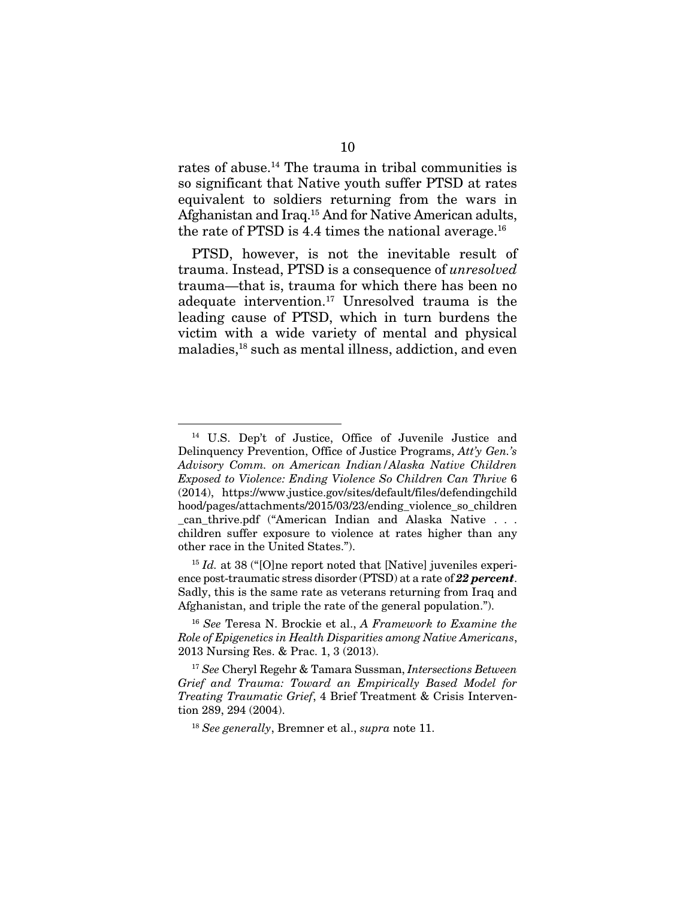rates of abuse.<sup>14</sup> The trauma in tribal communities is so significant that Native youth suffer PTSD at rates equivalent to soldiers returning from the wars in Afghanistan and Iraq.15 And for Native American adults, the rate of PTSD is 4.4 times the national average.<sup>16</sup>

PTSD, however, is not the inevitable result of trauma. Instead, PTSD is a consequence of *unresolved*  trauma—that is, trauma for which there has been no adequate intervention.17 Unresolved trauma is the leading cause of PTSD, which in turn burdens the victim with a wide variety of mental and physical maladies,<sup>18</sup> such as mental illness, addiction, and even

<sup>15</sup> *Id.* at 38 ("[O]ne report noted that [Native] juveniles experience post-traumatic stress disorder (PTSD) at a rate of *22 percent*. Sadly, this is the same rate as veterans returning from Iraq and Afghanistan, and triple the rate of the general population.").

<sup>14</sup> U.S. Dep't of Justice, Office of Juvenile Justice and Delinquency Prevention, Office of Justice Programs, *Att'y Gen.'s Advisory Comm. on American Indian/Alaska Native Children Exposed to Violence: Ending Violence So Children Can Thrive* 6 (2014), https://www.justice.gov/sites/default/files/defendingchild hood/pages/attachments/2015/03/23/ending\_violence\_so\_children can thrive.pdf ("American Indian and Alaska Native . . . children suffer exposure to violence at rates higher than any other race in the United States.").

<sup>16</sup> *See* Teresa N. Brockie et al., *A Framework to Examine the Role of Epigenetics in Health Disparities among Native Americans*, 2013 Nursing Res. & Prac. 1, 3 (2013).

<sup>17</sup> *See* Cheryl Regehr & Tamara Sussman, *Intersections Between Grief and Trauma: Toward an Empirically Based Model for Treating Traumatic Grief*, 4 Brief Treatment & Crisis Intervention 289, 294 (2004).

<sup>18</sup> *See generally*, Bremner et al., *supra* note 11.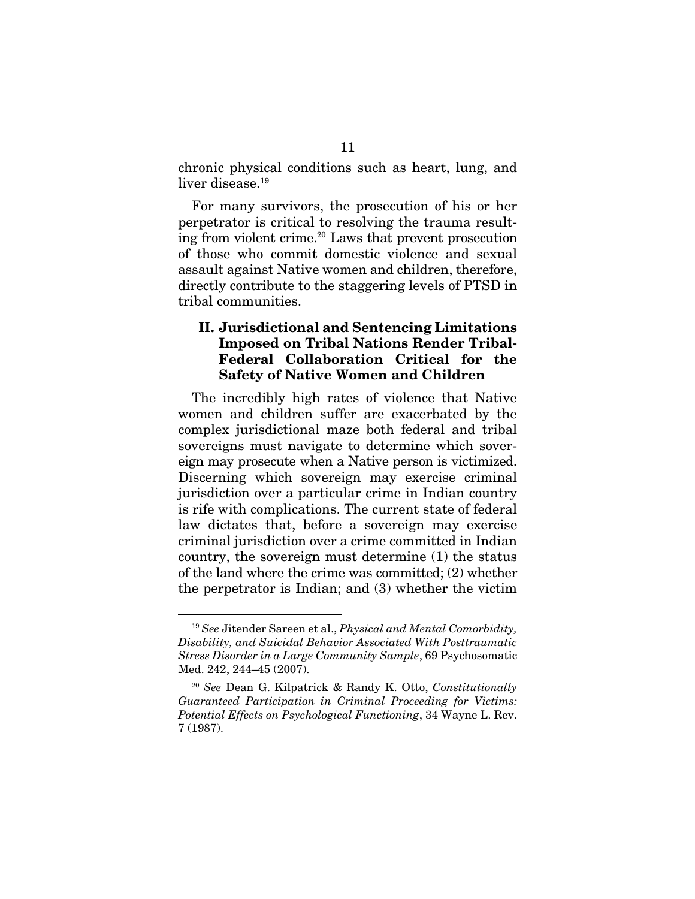chronic physical conditions such as heart, lung, and liver disease.<sup>19</sup>

For many survivors, the prosecution of his or her perpetrator is critical to resolving the trauma resulting from violent crime.20 Laws that prevent prosecution of those who commit domestic violence and sexual assault against Native women and children, therefore, directly contribute to the staggering levels of PTSD in tribal communities.

#### II. Jurisdictional and Sentencing Limitations Imposed on Tribal Nations Render Tribal-Federal Collaboration Critical for the Safety of Native Women and Children

The incredibly high rates of violence that Native women and children suffer are exacerbated by the complex jurisdictional maze both federal and tribal sovereigns must navigate to determine which sovereign may prosecute when a Native person is victimized. Discerning which sovereign may exercise criminal jurisdiction over a particular crime in Indian country is rife with complications. The current state of federal law dictates that, before a sovereign may exercise criminal jurisdiction over a crime committed in Indian country, the sovereign must determine (1) the status of the land where the crime was committed; (2) whether the perpetrator is Indian; and (3) whether the victim

<sup>19</sup> *See* Jitender Sareen et al., *Physical and Mental Comorbidity, Disability, and Suicidal Behavior Associated With Posttraumatic Stress Disorder in a Large Community Sample*, 69 Psychosomatic Med. 242, 244–45 (2007).

<sup>20</sup> *See* Dean G. Kilpatrick & Randy K. Otto, *Constitutionally Guaranteed Participation in Criminal Proceeding for Victims: Potential Effects on Psychological Functioning*, 34 Wayne L. Rev. 7 (1987).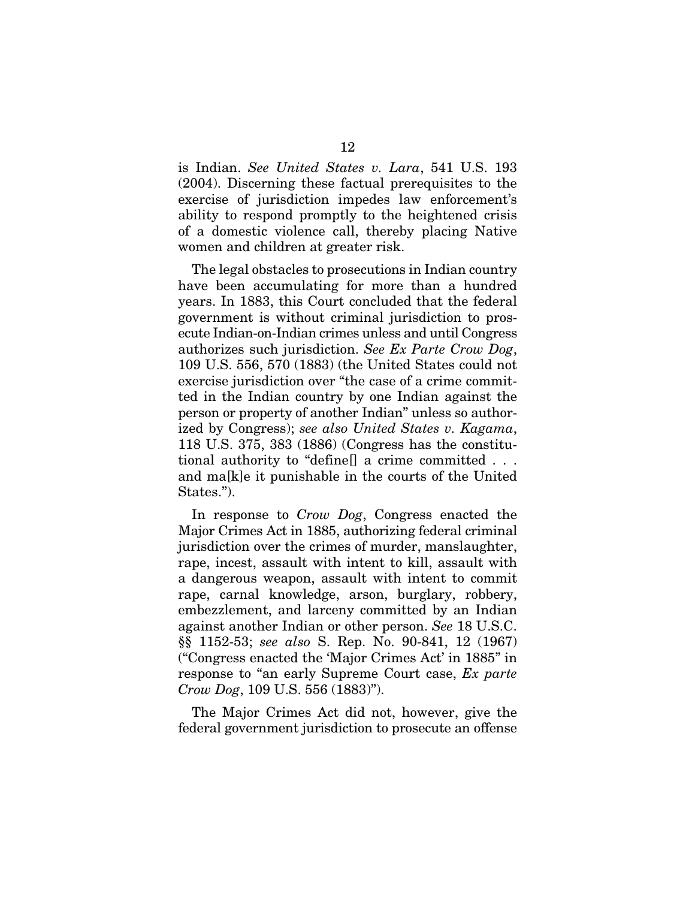is Indian. *See United States v. Lara*, 541 U.S. 193 (2004). Discerning these factual prerequisites to the exercise of jurisdiction impedes law enforcement's ability to respond promptly to the heightened crisis of a domestic violence call, thereby placing Native women and children at greater risk.

The legal obstacles to prosecutions in Indian country have been accumulating for more than a hundred years. In 1883, this Court concluded that the federal government is without criminal jurisdiction to prosecute Indian-on-Indian crimes unless and until Congress authorizes such jurisdiction. *See Ex Parte Crow Dog*, 109 U.S. 556, 570 (1883) (the United States could not exercise jurisdiction over "the case of a crime committed in the Indian country by one Indian against the person or property of another Indian" unless so authorized by Congress); *see also United States v. Kagama*, 118 U.S. 375, 383 (1886) (Congress has the constitutional authority to "define[] a crime committed . . . and ma[k]e it punishable in the courts of the United States.").

In response to *Crow Dog*, Congress enacted the Major Crimes Act in 1885, authorizing federal criminal jurisdiction over the crimes of murder, manslaughter, rape, incest, assault with intent to kill, assault with a dangerous weapon, assault with intent to commit rape, carnal knowledge, arson, burglary, robbery, embezzlement, and larceny committed by an Indian against another Indian or other person. *See* 18 U.S.C. §§ 1152-53; *see also* S. Rep. No. 90-841, 12 (1967) ("Congress enacted the 'Major Crimes Act' in 1885" in response to "an early Supreme Court case, *Ex parte Crow Dog*, 109 U.S. 556 (1883)").

The Major Crimes Act did not, however, give the federal government jurisdiction to prosecute an offense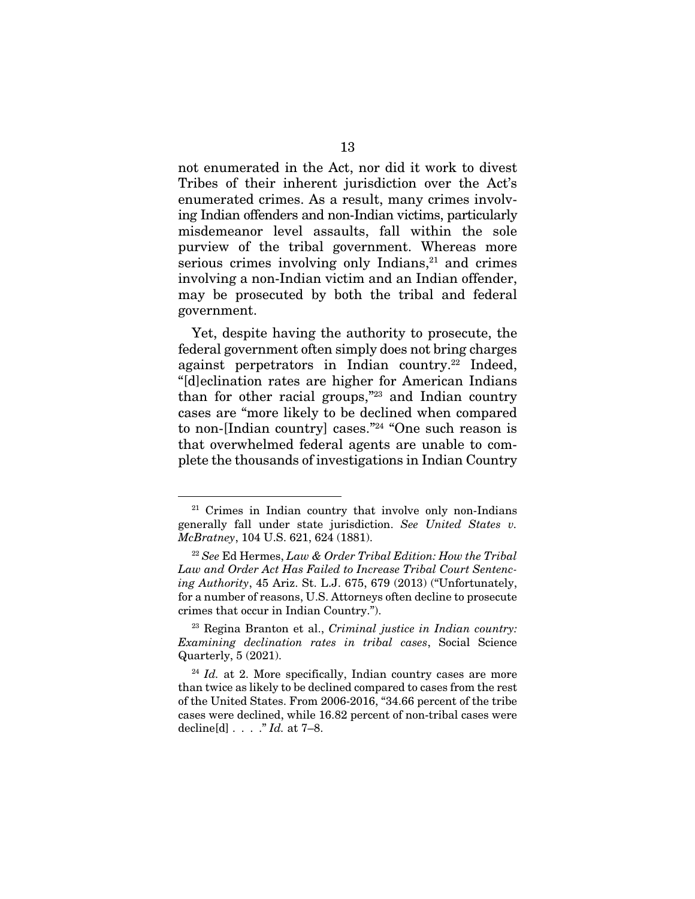not enumerated in the Act, nor did it work to divest Tribes of their inherent jurisdiction over the Act's enumerated crimes. As a result, many crimes involving Indian offenders and non-Indian victims, particularly misdemeanor level assaults, fall within the sole purview of the tribal government. Whereas more serious crimes involving only Indians, $21$  and crimes involving a non-Indian victim and an Indian offender, may be prosecuted by both the tribal and federal government.

Yet, despite having the authority to prosecute, the federal government often simply does not bring charges against perpetrators in Indian country.<sup>22</sup> Indeed, "[d]eclination rates are higher for American Indians than for other racial groups, $\frac{1}{2}$  and Indian country cases are "more likely to be declined when compared to non-[Indian country] cases."24 "One such reason is that overwhelmed federal agents are unable to complete the thousands of investigations in Indian Country

<sup>21</sup> Crimes in Indian country that involve only non-Indians generally fall under state jurisdiction. *See United States v. McBratney*, 104 U.S. 621, 624 (1881).

<sup>22</sup> *See* Ed Hermes, *Law & Order Tribal Edition: How the Tribal Law and Order Act Has Failed to Increase Tribal Court Sentencing Authority*, 45 Ariz. St. L.J. 675, 679 (2013) ("Unfortunately, for a number of reasons, U.S. Attorneys often decline to prosecute crimes that occur in Indian Country.").

<sup>23</sup> Regina Branton et al., *Criminal justice in Indian country: Examining declination rates in tribal cases*, Social Science Quarterly, 5 (2021).

<sup>&</sup>lt;sup>24</sup> *Id.* at 2. More specifically, Indian country cases are more than twice as likely to be declined compared to cases from the rest of the United States. From 2006-2016, "34.66 percent of the tribe cases were declined, while 16.82 percent of non-tribal cases were decline[d] . . . ." *Id.* at 7–8.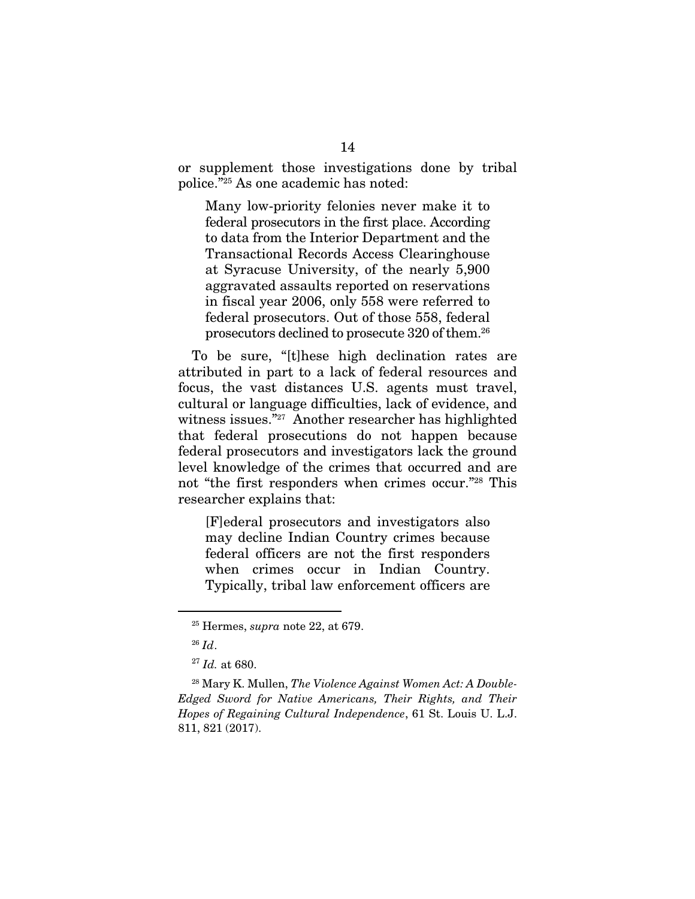or supplement those investigations done by tribal police."25 As one academic has noted:

Many low-priority felonies never make it to federal prosecutors in the first place. According to data from the Interior Department and the Transactional Records Access Clearinghouse at Syracuse University, of the nearly 5,900 aggravated assaults reported on reservations in fiscal year 2006, only 558 were referred to federal prosecutors. Out of those 558, federal prosecutors declined to prosecute 320 of them.26

To be sure, "[t]hese high declination rates are attributed in part to a lack of federal resources and focus, the vast distances U.S. agents must travel, cultural or language difficulties, lack of evidence, and witness issues."27 Another researcher has highlighted that federal prosecutions do not happen because federal prosecutors and investigators lack the ground level knowledge of the crimes that occurred and are not "the first responders when crimes occur."28 This researcher explains that:

[F]ederal prosecutors and investigators also may decline Indian Country crimes because federal officers are not the first responders when crimes occur in Indian Country. Typically, tribal law enforcement officers are

<sup>25</sup> Hermes, *supra* note 22, at 679.

<sup>26</sup> *Id*.

<sup>27</sup> *Id.* at 680.

<sup>28</sup> Mary K. Mullen, *The Violence Against Women Act: A Double-Edged Sword for Native Americans, Their Rights, and Their Hopes of Regaining Cultural Independence*, 61 St. Louis U. L.J. 811, 821 (2017).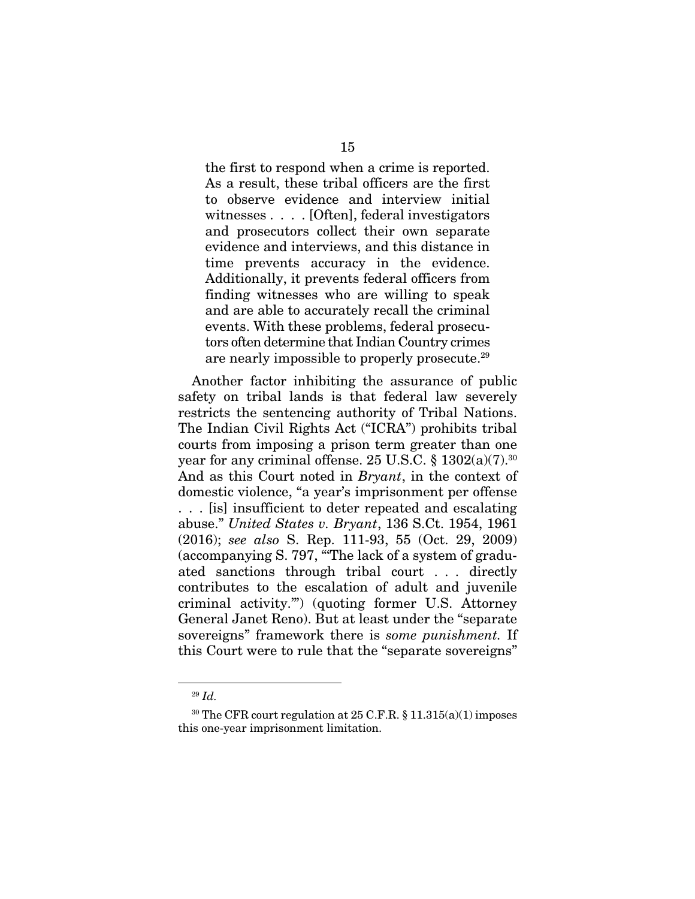the first to respond when a crime is reported. As a result, these tribal officers are the first to observe evidence and interview initial witnesses . . . . [Often], federal investigators and prosecutors collect their own separate evidence and interviews, and this distance in time prevents accuracy in the evidence. Additionally, it prevents federal officers from finding witnesses who are willing to speak and are able to accurately recall the criminal events. With these problems, federal prosecutors often determine that Indian Country crimes are nearly impossible to properly prosecute.29

Another factor inhibiting the assurance of public safety on tribal lands is that federal law severely restricts the sentencing authority of Tribal Nations. The Indian Civil Rights Act ("ICRA") prohibits tribal courts from imposing a prison term greater than one year for any criminal offense.  $25$  U.S.C. §  $1302(a)(7)$ .<sup>30</sup> And as this Court noted in *Bryant*, in the context of domestic violence, "a year's imprisonment per offense . . . [is] insufficient to deter repeated and escalating abuse." *United States v. Bryant*, 136 S.Ct. 1954, 1961 (2016); *see also* S. Rep. 111-93, 55 (Oct. 29, 2009) (accompanying S. 797, "'The lack of a system of graduated sanctions through tribal court . . . directly contributes to the escalation of adult and juvenile criminal activity.'") (quoting former U.S. Attorney General Janet Reno). But at least under the "separate sovereigns" framework there is *some punishment.* If this Court were to rule that the "separate sovereigns"

<sup>29</sup> *Id.*

<sup>&</sup>lt;sup>30</sup> The CFR court regulation at 25 C.F.R. § 11.315(a)(1) imposes this one-year imprisonment limitation.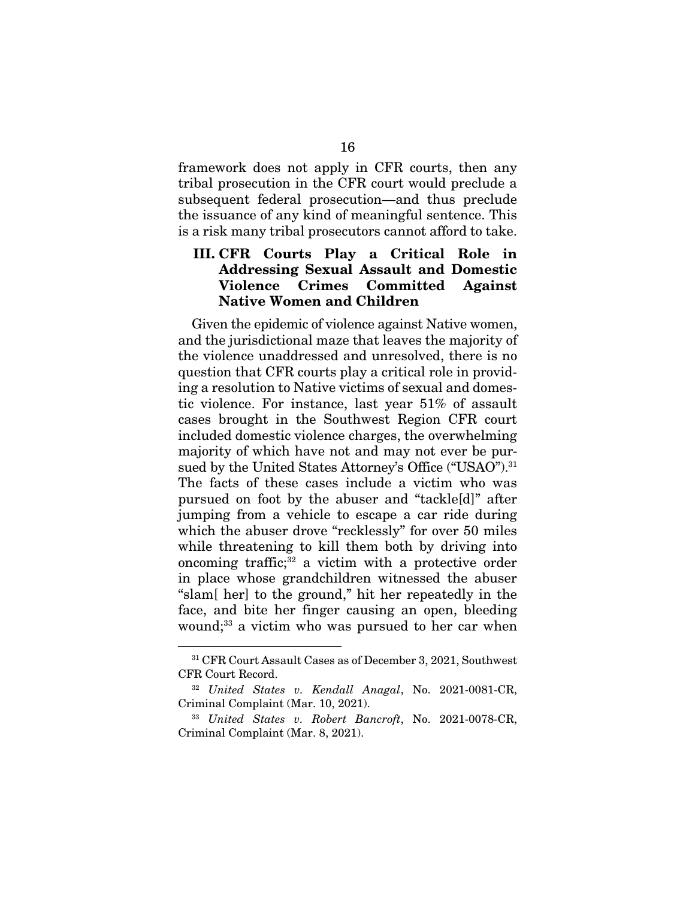framework does not apply in CFR courts, then any tribal prosecution in the CFR court would preclude a subsequent federal prosecution—and thus preclude the issuance of any kind of meaningful sentence. This is a risk many tribal prosecutors cannot afford to take.

#### III. CFR Courts Play a Critical Role in Addressing Sexual Assault and Domestic Violence Crimes Committed Against Native Women and Children

Given the epidemic of violence against Native women, and the jurisdictional maze that leaves the majority of the violence unaddressed and unresolved, there is no question that CFR courts play a critical role in providing a resolution to Native victims of sexual and domestic violence. For instance, last year 51% of assault cases brought in the Southwest Region CFR court included domestic violence charges, the overwhelming majority of which have not and may not ever be pursued by the United States Attorney's Office ("USAO").<sup>31</sup> The facts of these cases include a victim who was pursued on foot by the abuser and "tackle[d]" after jumping from a vehicle to escape a car ride during which the abuser drove "recklessly" for over 50 miles while threatening to kill them both by driving into oncoming traffic;32 a victim with a protective order in place whose grandchildren witnessed the abuser "slam[ her] to the ground," hit her repeatedly in the face, and bite her finger causing an open, bleeding wound;<sup>33</sup> a victim who was pursued to her car when

<sup>31</sup> CFR Court Assault Cases as of December 3, 2021, Southwest CFR Court Record.

<sup>32</sup> *United States v. Kendall Anagal*, No. 2021-0081-CR, Criminal Complaint (Mar. 10, 2021).

<sup>33</sup> *United States v. Robert Bancroft*, No. 2021-0078-CR, Criminal Complaint (Mar. 8, 2021).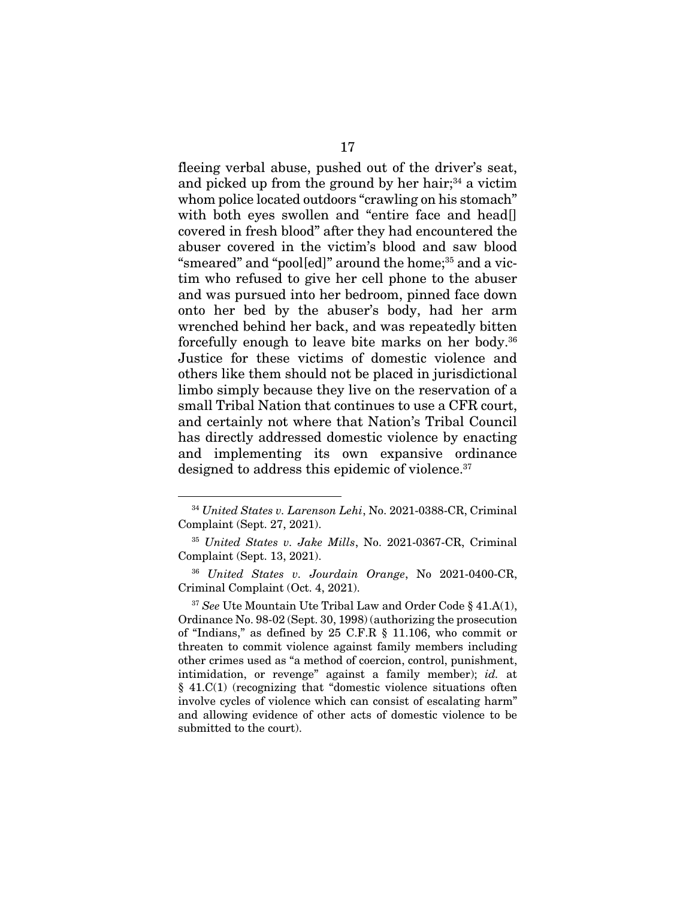fleeing verbal abuse, pushed out of the driver's seat, and picked up from the ground by her hair; $34$  a victim whom police located outdoors "crawling on his stomach" with both eyes swollen and "entire face and head[] covered in fresh blood" after they had encountered the abuser covered in the victim's blood and saw blood "smeared" and "pool[ed]" around the home;<sup>35</sup> and a victim who refused to give her cell phone to the abuser and was pursued into her bedroom, pinned face down onto her bed by the abuser's body, had her arm wrenched behind her back, and was repeatedly bitten forcefully enough to leave bite marks on her body.36 Justice for these victims of domestic violence and others like them should not be placed in jurisdictional limbo simply because they live on the reservation of a small Tribal Nation that continues to use a CFR court, and certainly not where that Nation's Tribal Council has directly addressed domestic violence by enacting and implementing its own expansive ordinance designed to address this epidemic of violence.<sup>37</sup>

<sup>34</sup> *United States v. Larenson Lehi*, No. 2021-0388-CR, Criminal Complaint (Sept. 27, 2021).

<sup>35</sup> *United States v. Jake Mills*, No. 2021-0367-CR, Criminal Complaint (Sept. 13, 2021).

<sup>36</sup> *United States v. Jourdain Orange*, No 2021-0400-CR, Criminal Complaint (Oct. 4, 2021).

<sup>37</sup> *See* Ute Mountain Ute Tribal Law and Order Code § 41.A(1), Ordinance No. 98-02 (Sept. 30, 1998) (authorizing the prosecution of "Indians," as defined by 25 C.F.R § 11.106, who commit or threaten to commit violence against family members including other crimes used as "a method of coercion, control, punishment, intimidation, or revenge" against a family member); *id.* at § 41.C(1) (recognizing that "domestic violence situations often involve cycles of violence which can consist of escalating harm" and allowing evidence of other acts of domestic violence to be submitted to the court).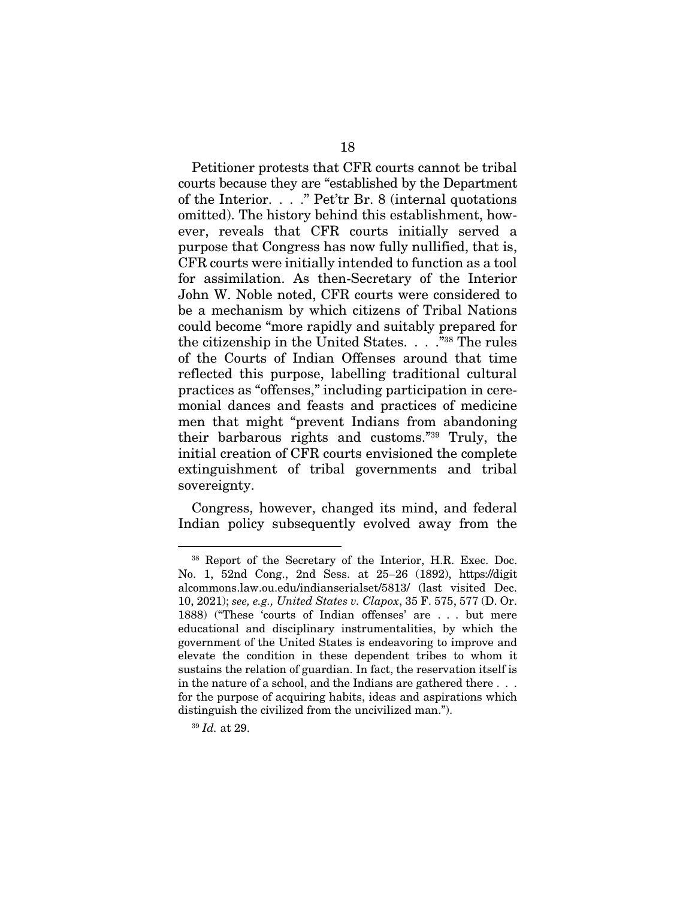Petitioner protests that CFR courts cannot be tribal courts because they are "established by the Department of the Interior. . . ." Pet'tr Br. 8 (internal quotations omitted). The history behind this establishment, however, reveals that CFR courts initially served a purpose that Congress has now fully nullified, that is, CFR courts were initially intended to function as a tool for assimilation. As then-Secretary of the Interior John W. Noble noted, CFR courts were considered to be a mechanism by which citizens of Tribal Nations could become "more rapidly and suitably prepared for the citizenship in the United States.  $\ldots$ <sup>38</sup> The rules of the Courts of Indian Offenses around that time reflected this purpose, labelling traditional cultural practices as "offenses," including participation in ceremonial dances and feasts and practices of medicine men that might "prevent Indians from abandoning their barbarous rights and customs."39 Truly, the initial creation of CFR courts envisioned the complete extinguishment of tribal governments and tribal sovereignty.

Congress, however, changed its mind, and federal Indian policy subsequently evolved away from the

<sup>38</sup> Report of the Secretary of the Interior, H.R. Exec. Doc. No. 1, 52nd Cong., 2nd Sess. at 25–26 (1892), https://digit alcommons.law.ou.edu/indianserialset/5813/ (last visited Dec. 10, 2021); *see, e.g., United States v. Clapox*, 35 F. 575, 577 (D. Or. 1888) ("These 'courts of Indian offenses' are . . . but mere educational and disciplinary instrumentalities, by which the government of the United States is endeavoring to improve and elevate the condition in these dependent tribes to whom it sustains the relation of guardian. In fact, the reservation itself is in the nature of a school, and the Indians are gathered there . . . for the purpose of acquiring habits, ideas and aspirations which distinguish the civilized from the uncivilized man.").

<sup>39</sup> *Id.* at 29.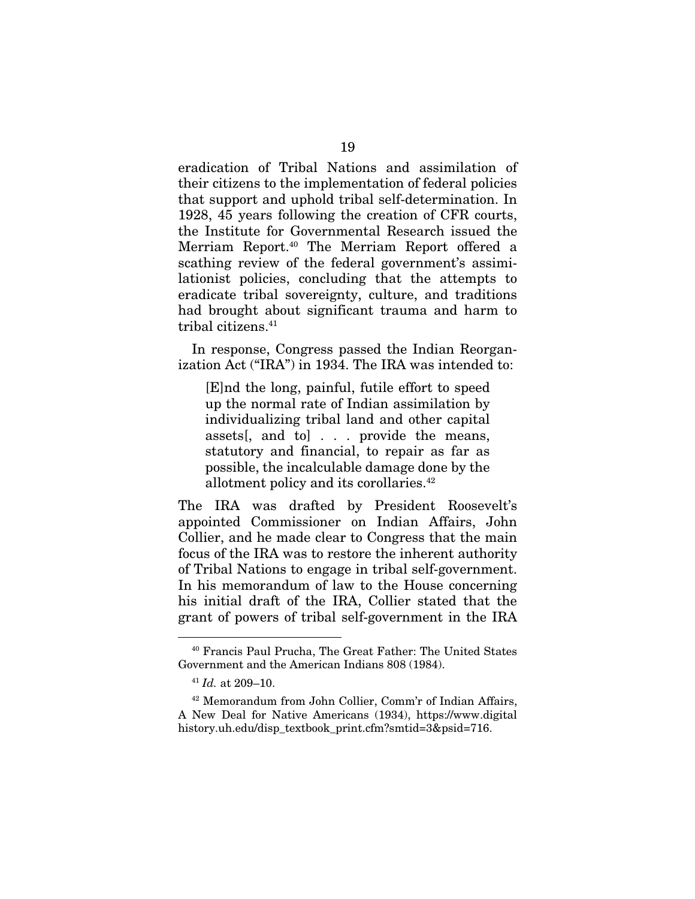eradication of Tribal Nations and assimilation of their citizens to the implementation of federal policies that support and uphold tribal self-determination. In 1928, 45 years following the creation of CFR courts, the Institute for Governmental Research issued the Merriam Report.<sup>40</sup> The Merriam Report offered a scathing review of the federal government's assimilationist policies, concluding that the attempts to eradicate tribal sovereignty, culture, and traditions had brought about significant trauma and harm to tribal citizens.<sup>41</sup>

In response, Congress passed the Indian Reorganization Act ("IRA") in 1934. The IRA was intended to:

[E]nd the long, painful, futile effort to speed up the normal rate of Indian assimilation by individualizing tribal land and other capital assets[, and to] . . . provide the means, statutory and financial, to repair as far as possible, the incalculable damage done by the allotment policy and its corollaries.42

The IRA was drafted by President Roosevelt's appointed Commissioner on Indian Affairs, John Collier, and he made clear to Congress that the main focus of the IRA was to restore the inherent authority of Tribal Nations to engage in tribal self-government. In his memorandum of law to the House concerning his initial draft of the IRA, Collier stated that the grant of powers of tribal self-government in the IRA

<sup>40</sup> Francis Paul Prucha, The Great Father: The United States Government and the American Indians 808 (1984).

<sup>41</sup> *Id.* at 209–10.

<sup>42</sup> Memorandum from John Collier, Comm'r of Indian Affairs, A New Deal for Native Americans (1934), https://www.digital history.uh.edu/disp\_textbook\_print.cfm?smtid=3&psid=716.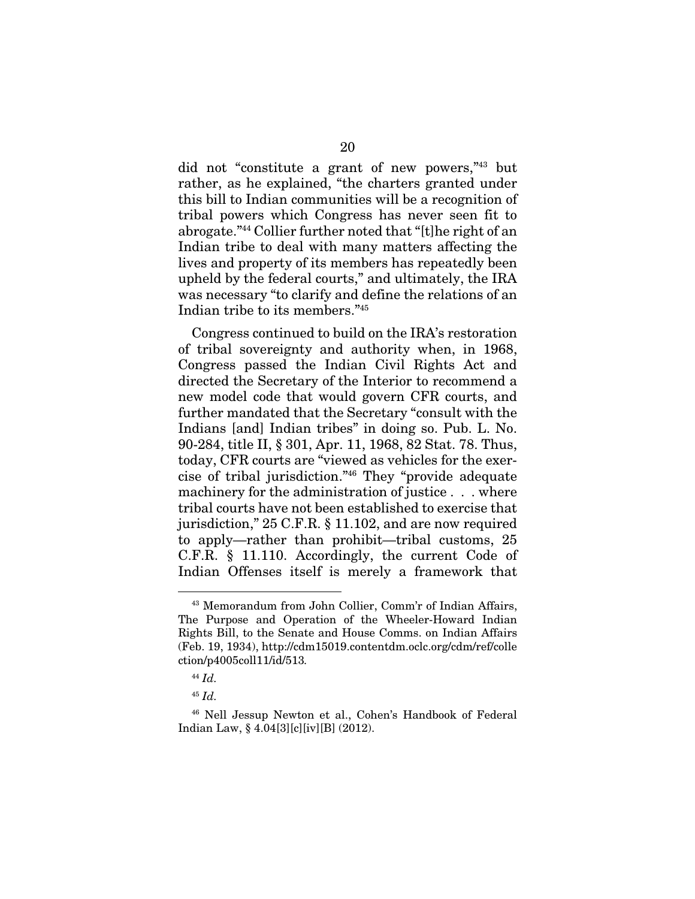did not "constitute a grant of new powers,"43 but rather, as he explained, "the charters granted under this bill to Indian communities will be a recognition of tribal powers which Congress has never seen fit to abrogate."44 Collier further noted that "[t]he right of an Indian tribe to deal with many matters affecting the lives and property of its members has repeatedly been upheld by the federal courts," and ultimately, the IRA was necessary "to clarify and define the relations of an Indian tribe to its members."45

Congress continued to build on the IRA's restoration of tribal sovereignty and authority when, in 1968, Congress passed the Indian Civil Rights Act and directed the Secretary of the Interior to recommend a new model code that would govern CFR courts, and further mandated that the Secretary "consult with the Indians [and] Indian tribes" in doing so. Pub. L. No. 90-284, title II, § 301, Apr. 11, 1968, 82 Stat. 78. Thus, today, CFR courts are "viewed as vehicles for the exercise of tribal jurisdiction."46 They "provide adequate machinery for the administration of justice . . . where tribal courts have not been established to exercise that jurisdiction," 25 C.F.R. § 11.102, and are now required to apply—rather than prohibit—tribal customs, 25 C.F.R. § 11.110. Accordingly, the current Code of Indian Offenses itself is merely a framework that

<sup>43</sup> Memorandum from John Collier, Comm'r of Indian Affairs, The Purpose and Operation of the Wheeler-Howard Indian Rights Bill, to the Senate and House Comms. on Indian Affairs (Feb. 19, 1934), http://cdm15019.contentdm.oclc.org/cdm/ref/colle ction/p4005coll11/id/513*.*

<sup>44</sup> *Id.*

<sup>45</sup> *Id.*

<sup>46</sup> Nell Jessup Newton et al., Cohen's Handbook of Federal Indian Law, § 4.04[3][c][iv][B] (2012).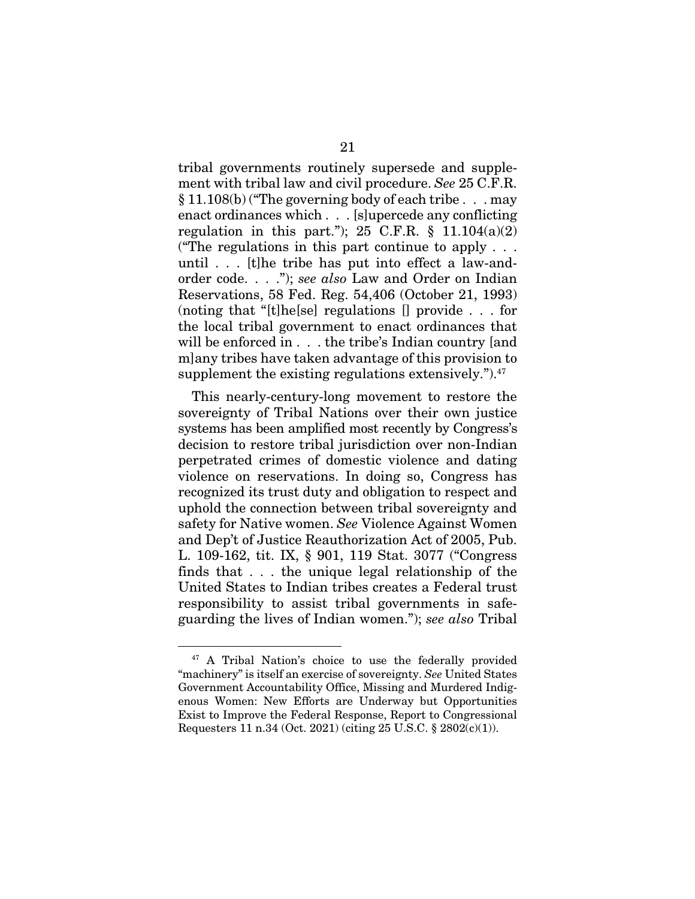tribal governments routinely supersede and supplement with tribal law and civil procedure. *See* 25 C.F.R. § 11.108(b) ("The governing body of each tribe . . . may enact ordinances which . . . [s]upercede any conflicting regulation in this part."); 25 C.F.R.  $\S$  11.104(a)(2) ("The regulations in this part continue to apply  $\ldots$ ) until . . . [t]he tribe has put into effect a law-andorder code. . . ."); *see also* Law and Order on Indian Reservations, 58 Fed. Reg. 54,406 (October 21, 1993) (noting that "[t]he[se] regulations [] provide . . . for the local tribal government to enact ordinances that will be enforced in . . . the tribe's Indian country [and m]any tribes have taken advantage of this provision to supplement the existing regulations extensively."). $47$ 

This nearly-century-long movement to restore the sovereignty of Tribal Nations over their own justice systems has been amplified most recently by Congress's decision to restore tribal jurisdiction over non-Indian perpetrated crimes of domestic violence and dating violence on reservations. In doing so, Congress has recognized its trust duty and obligation to respect and uphold the connection between tribal sovereignty and safety for Native women. *See* Violence Against Women and Dep't of Justice Reauthorization Act of 2005, Pub. L. 109-162, tit. IX, § 901, 119 Stat. 3077 ("Congress finds that . . . the unique legal relationship of the United States to Indian tribes creates a Federal trust responsibility to assist tribal governments in safeguarding the lives of Indian women."); *see also* Tribal

<sup>47</sup> A Tribal Nation's choice to use the federally provided "machinery" is itself an exercise of sovereignty. *See* United States Government Accountability Office, Missing and Murdered Indigenous Women: New Efforts are Underway but Opportunities Exist to Improve the Federal Response, Report to Congressional Requesters 11 n.34 (Oct. 2021) (citing 25 U.S.C. § 2802(c)(1)).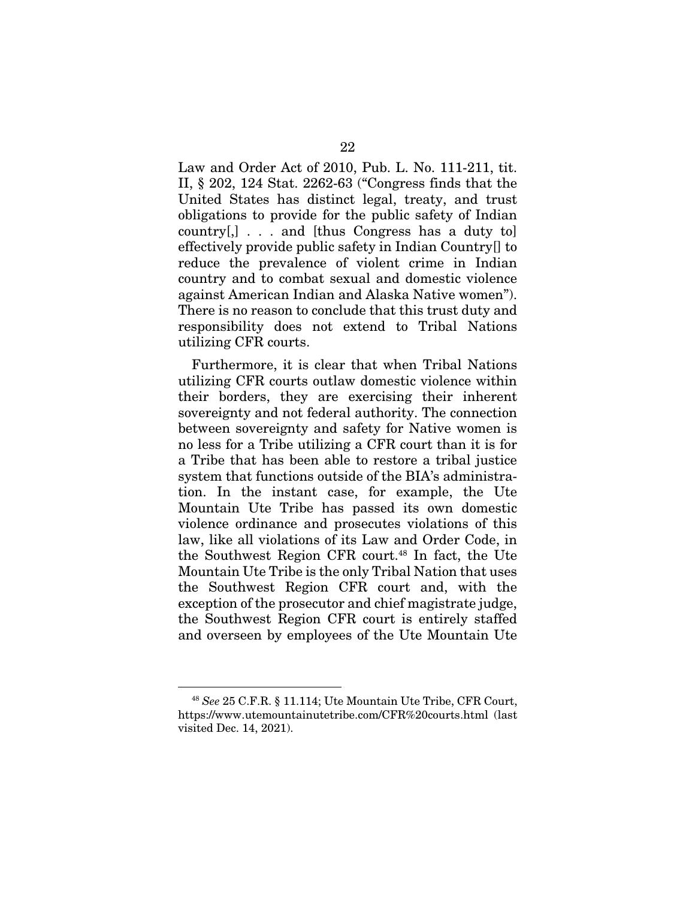Law and Order Act of 2010, Pub. L. No. 111-211, tit. II, § 202, 124 Stat. 2262-63 ("Congress finds that the United States has distinct legal, treaty, and trust obligations to provide for the public safety of Indian country[,] . . . and [thus Congress has a duty to] effectively provide public safety in Indian Country[] to reduce the prevalence of violent crime in Indian country and to combat sexual and domestic violence against American Indian and Alaska Native women"). There is no reason to conclude that this trust duty and responsibility does not extend to Tribal Nations utilizing CFR courts.

Furthermore, it is clear that when Tribal Nations utilizing CFR courts outlaw domestic violence within their borders, they are exercising their inherent sovereignty and not federal authority. The connection between sovereignty and safety for Native women is no less for a Tribe utilizing a CFR court than it is for a Tribe that has been able to restore a tribal justice system that functions outside of the BIA's administration. In the instant case, for example, the Ute Mountain Ute Tribe has passed its own domestic violence ordinance and prosecutes violations of this law, like all violations of its Law and Order Code, in the Southwest Region CFR court.48 In fact, the Ute Mountain Ute Tribe is the only Tribal Nation that uses the Southwest Region CFR court and, with the exception of the prosecutor and chief magistrate judge, the Southwest Region CFR court is entirely staffed and overseen by employees of the Ute Mountain Ute

<sup>48</sup> *See* 25 C.F.R. § 11.114; Ute Mountain Ute Tribe, CFR Court, https://www.utemountainutetribe.com/CFR%20courts.html (last visited Dec. 14, 2021).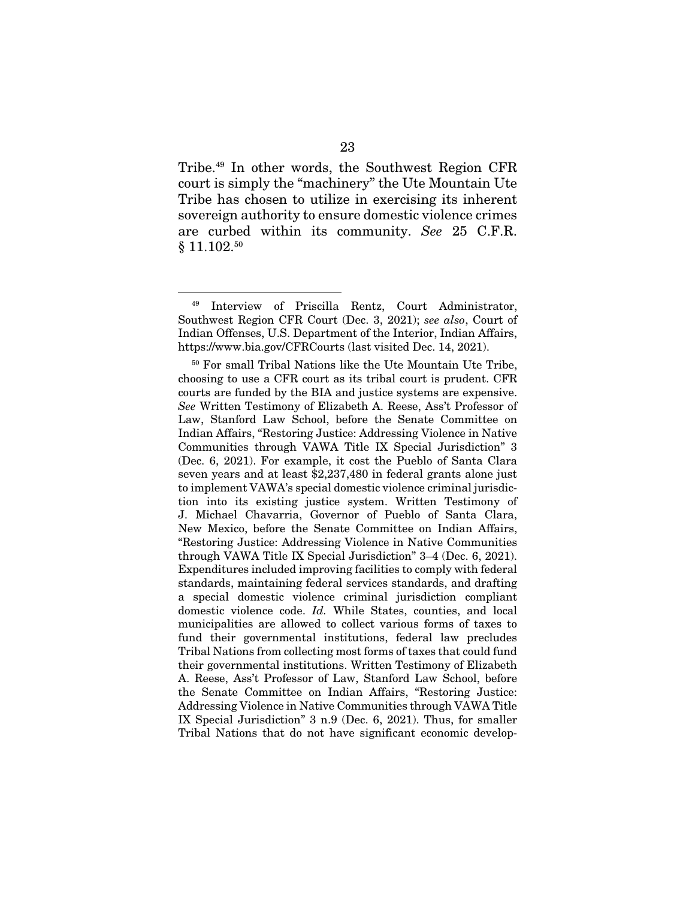Tribe.49 In other words, the Southwest Region CFR court is simply the "machinery" the Ute Mountain Ute Tribe has chosen to utilize in exercising its inherent sovereign authority to ensure domestic violence crimes are curbed within its community. *See* 25 C.F.R. § 11.102.<sup>50</sup>

<sup>49</sup> Interview of Priscilla Rentz, Court Administrator, Southwest Region CFR Court (Dec. 3, 2021); *see also*, Court of Indian Offenses, U.S. Department of the Interior, Indian Affairs, https://www.bia.gov/CFRCourts (last visited Dec. 14, 2021).

<sup>50</sup> For small Tribal Nations like the Ute Mountain Ute Tribe, choosing to use a CFR court as its tribal court is prudent. CFR courts are funded by the BIA and justice systems are expensive. *See* Written Testimony of Elizabeth A. Reese, Ass't Professor of Law, Stanford Law School, before the Senate Committee on Indian Affairs, "Restoring Justice: Addressing Violence in Native Communities through VAWA Title IX Special Jurisdiction" 3 (Dec. 6, 2021). For example, it cost the Pueblo of Santa Clara seven years and at least \$2,237,480 in federal grants alone just to implement VAWA's special domestic violence criminal jurisdiction into its existing justice system. Written Testimony of J. Michael Chavarria, Governor of Pueblo of Santa Clara, New Mexico, before the Senate Committee on Indian Affairs, "Restoring Justice: Addressing Violence in Native Communities through VAWA Title IX Special Jurisdiction" 3–4 (Dec. 6, 2021). Expenditures included improving facilities to comply with federal standards, maintaining federal services standards, and drafting a special domestic violence criminal jurisdiction compliant domestic violence code. *Id.* While States, counties, and local municipalities are allowed to collect various forms of taxes to fund their governmental institutions, federal law precludes Tribal Nations from collecting most forms of taxes that could fund their governmental institutions. Written Testimony of Elizabeth A. Reese, Ass't Professor of Law, Stanford Law School, before the Senate Committee on Indian Affairs, "Restoring Justice: Addressing Violence in Native Communities through VAWA Title IX Special Jurisdiction" 3 n.9 (Dec. 6, 2021). Thus, for smaller Tribal Nations that do not have significant economic develop-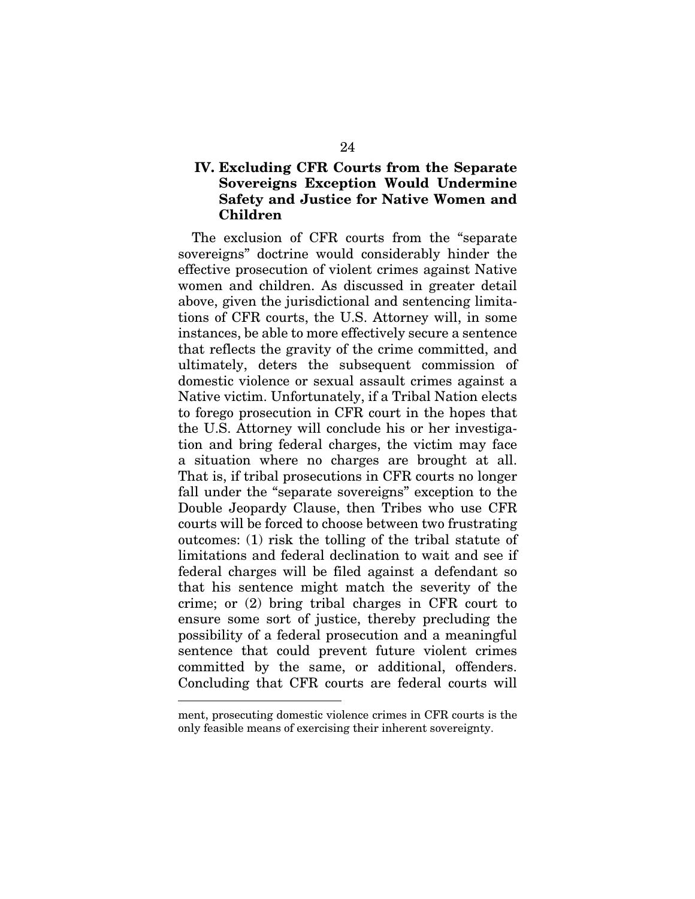#### IV. Excluding CFR Courts from the Separate Sovereigns Exception Would Undermine Safety and Justice for Native Women and Children

The exclusion of CFR courts from the "separate sovereigns" doctrine would considerably hinder the effective prosecution of violent crimes against Native women and children. As discussed in greater detail above, given the jurisdictional and sentencing limitations of CFR courts, the U.S. Attorney will, in some instances, be able to more effectively secure a sentence that reflects the gravity of the crime committed, and ultimately, deters the subsequent commission of domestic violence or sexual assault crimes against a Native victim. Unfortunately, if a Tribal Nation elects to forego prosecution in CFR court in the hopes that the U.S. Attorney will conclude his or her investigation and bring federal charges, the victim may face a situation where no charges are brought at all. That is, if tribal prosecutions in CFR courts no longer fall under the "separate sovereigns" exception to the Double Jeopardy Clause, then Tribes who use CFR courts will be forced to choose between two frustrating outcomes: (1) risk the tolling of the tribal statute of limitations and federal declination to wait and see if federal charges will be filed against a defendant so that his sentence might match the severity of the crime; or (2) bring tribal charges in CFR court to ensure some sort of justice, thereby precluding the possibility of a federal prosecution and a meaningful sentence that could prevent future violent crimes committed by the same, or additional, offenders. Concluding that CFR courts are federal courts will

ment, prosecuting domestic violence crimes in CFR courts is the only feasible means of exercising their inherent sovereignty.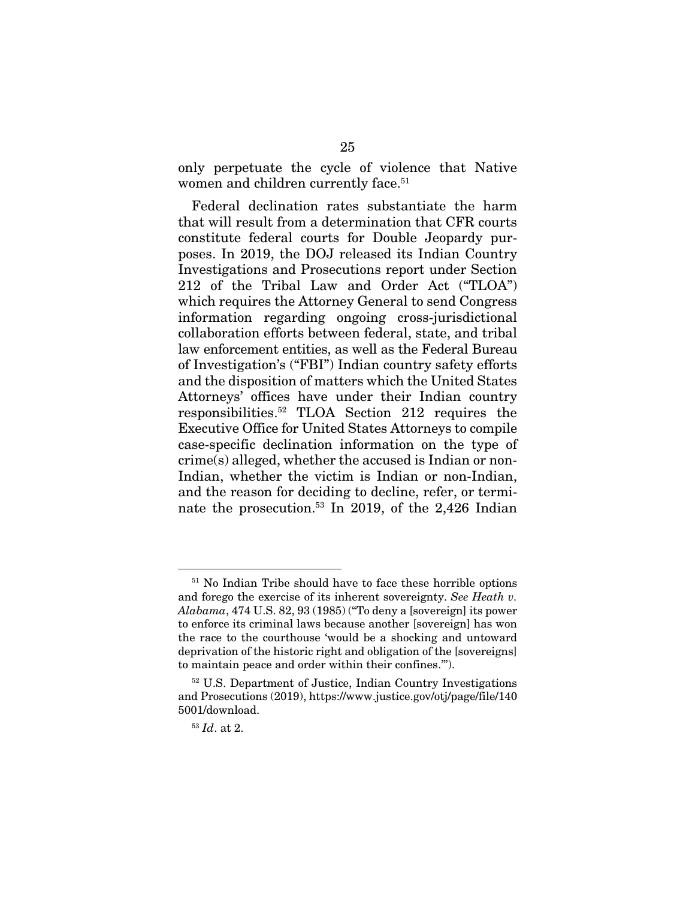only perpetuate the cycle of violence that Native women and children currently face.<sup>51</sup>

Federal declination rates substantiate the harm that will result from a determination that CFR courts constitute federal courts for Double Jeopardy purposes. In 2019, the DOJ released its Indian Country Investigations and Prosecutions report under Section 212 of the Tribal Law and Order Act ("TLOA") which requires the Attorney General to send Congress information regarding ongoing cross-jurisdictional collaboration efforts between federal, state, and tribal law enforcement entities, as well as the Federal Bureau of Investigation's ("FBI") Indian country safety efforts and the disposition of matters which the United States Attorneys' offices have under their Indian country responsibilities.52 TLOA Section 212 requires the Executive Office for United States Attorneys to compile case-specific declination information on the type of crime(s) alleged, whether the accused is Indian or non-Indian, whether the victim is Indian or non-Indian, and the reason for deciding to decline, refer, or terminate the prosecution.53 In 2019, of the 2,426 Indian

<sup>51</sup> No Indian Tribe should have to face these horrible options and forego the exercise of its inherent sovereignty. *See Heath v. Alabama*, 474 U.S. 82, 93 (1985) ("To deny a [sovereign] its power to enforce its criminal laws because another [sovereign] has won the race to the courthouse 'would be a shocking and untoward deprivation of the historic right and obligation of the [sovereigns] to maintain peace and order within their confines.'").

<sup>52</sup> U.S. Department of Justice, Indian Country Investigations and Prosecutions (2019), https://www.justice.gov/otj/page/file/140 5001/download.

<sup>53</sup> *Id*. at 2.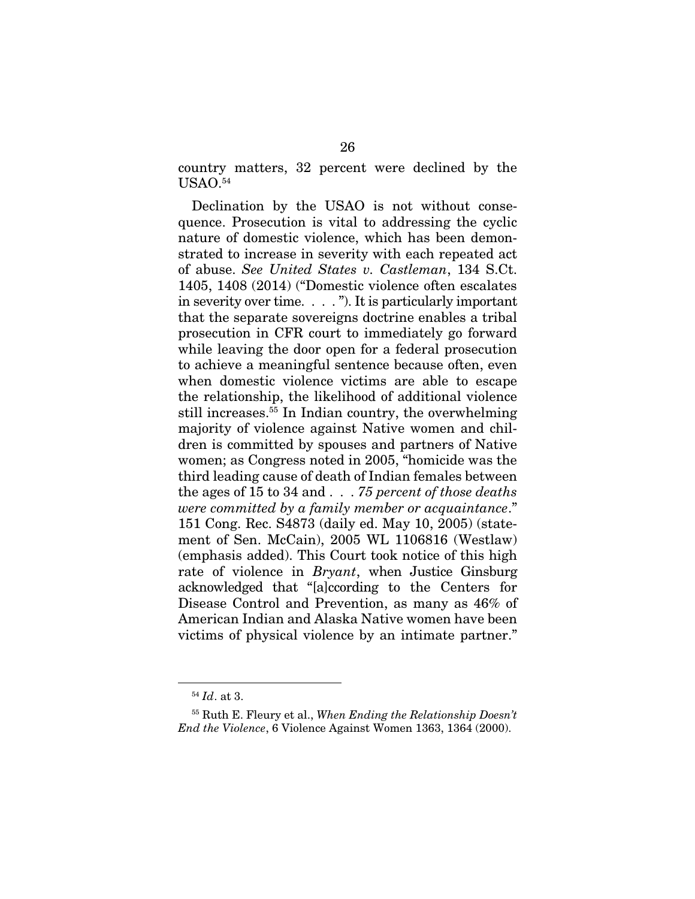country matters, 32 percent were declined by the  $USAO.<sup>54</sup>$ 

Declination by the USAO is not without consequence. Prosecution is vital to addressing the cyclic nature of domestic violence, which has been demonstrated to increase in severity with each repeated act of abuse. *See United States v. Castleman*, 134 S.Ct. 1405, 1408 (2014) ("Domestic violence often escalates in severity over time. . . . "). It is particularly important that the separate sovereigns doctrine enables a tribal prosecution in CFR court to immediately go forward while leaving the door open for a federal prosecution to achieve a meaningful sentence because often, even when domestic violence victims are able to escape the relationship, the likelihood of additional violence still increases.55 In Indian country, the overwhelming majority of violence against Native women and children is committed by spouses and partners of Native women; as Congress noted in 2005, "homicide was the third leading cause of death of Indian females between the ages of 15 to 34 and . . . *75 percent of those deaths were committed by a family member or acquaintance*." 151 Cong. Rec. S4873 (daily ed. May 10, 2005) (statement of Sen. McCain), 2005 WL 1106816 (Westlaw) (emphasis added). This Court took notice of this high rate of violence in *Bryant*, when Justice Ginsburg acknowledged that "[a]ccording to the Centers for Disease Control and Prevention, as many as 46% of American Indian and Alaska Native women have been victims of physical violence by an intimate partner."

<sup>54</sup> *Id*. at 3.

<sup>55</sup> Ruth E. Fleury et al., *When Ending the Relationship Doesn't End the Violence*, 6 Violence Against Women 1363, 1364 (2000).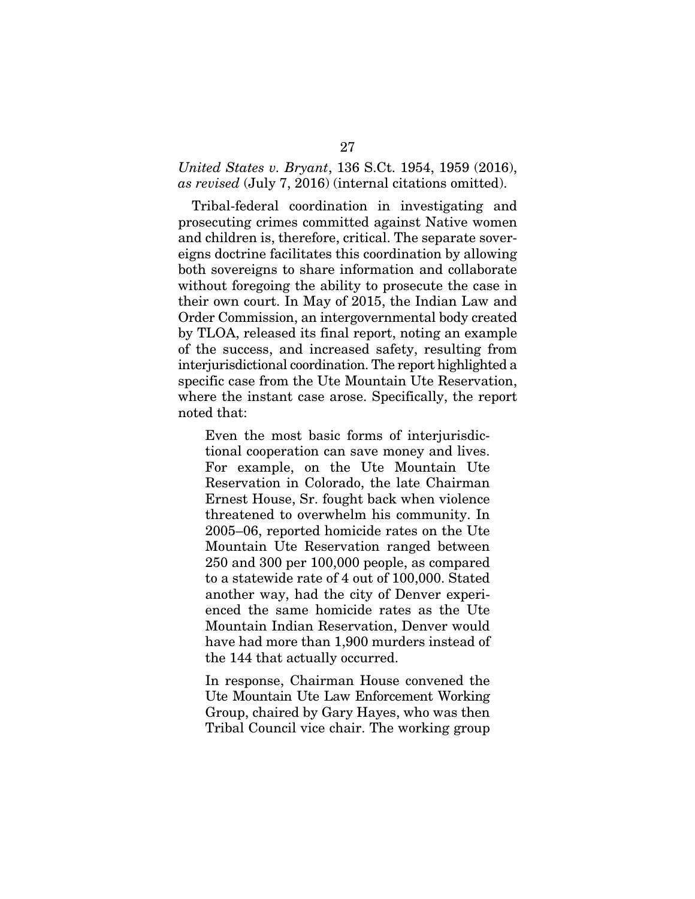#### *United States v. Bryant*, 136 S.Ct. 1954, 1959 (2016), *as revised* (July 7, 2016) (internal citations omitted).

Tribal-federal coordination in investigating and prosecuting crimes committed against Native women and children is, therefore, critical. The separate sovereigns doctrine facilitates this coordination by allowing both sovereigns to share information and collaborate without foregoing the ability to prosecute the case in their own court. In May of 2015, the Indian Law and Order Commission, an intergovernmental body created by TLOA, released its final report, noting an example of the success, and increased safety, resulting from interjurisdictional coordination. The report highlighted a specific case from the Ute Mountain Ute Reservation, where the instant case arose. Specifically, the report noted that:

Even the most basic forms of interjurisdictional cooperation can save money and lives. For example, on the Ute Mountain Ute Reservation in Colorado, the late Chairman Ernest House, Sr. fought back when violence threatened to overwhelm his community. In 2005–06, reported homicide rates on the Ute Mountain Ute Reservation ranged between 250 and 300 per 100,000 people, as compared to a statewide rate of 4 out of 100,000. Stated another way, had the city of Denver experienced the same homicide rates as the Ute Mountain Indian Reservation, Denver would have had more than 1,900 murders instead of the 144 that actually occurred.

In response, Chairman House convened the Ute Mountain Ute Law Enforcement Working Group, chaired by Gary Hayes, who was then Tribal Council vice chair. The working group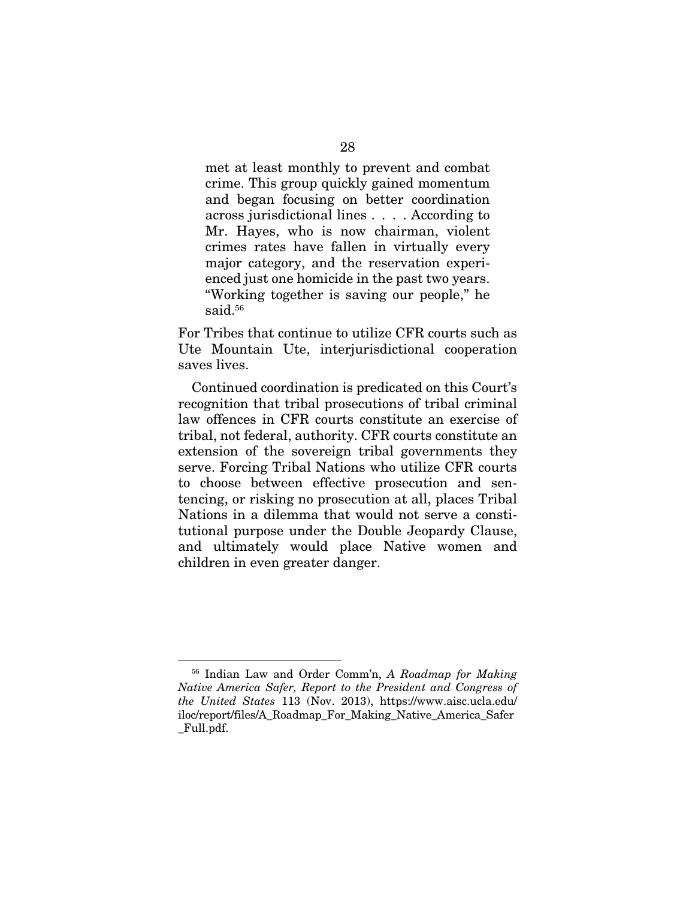met at least monthly to prevent and combat crime. This group quickly gained momentum and began focusing on better coordination across jurisdictional lines . . . . According to Mr. Hayes, who is now chairman, violent crimes rates have fallen in virtually every major category, and the reservation experienced just one homicide in the past two years. "Working together is saving our people," he said.<sup>56</sup>

For Tribes that continue to utilize CFR courts such as Ute Mountain Ute, interjurisdictional cooperation saves lives.

Continued coordination is predicated on this Court's recognition that tribal prosecutions of tribal criminal law offences in CFR courts constitute an exercise of tribal, not federal, authority. CFR courts constitute an extension of the sovereign tribal governments they serve. Forcing Tribal Nations who utilize CFR courts to choose between effective prosecution and sentencing, or risking no prosecution at all, places Tribal Nations in a dilemma that would not serve a constitutional purpose under the Double Jeopardy Clause, and ultimately would place Native women and children in even greater danger.

<sup>56</sup> Indian Law and Order Comm'n, *A Roadmap for Making Native America Safer, Report to the President and Congress of the United States* 113 (Nov. 2013), https://www.aisc.ucla.edu/ iloc/report/files/A\_Roadmap\_For\_Making\_Native\_America\_Safer \_Full.pdf.